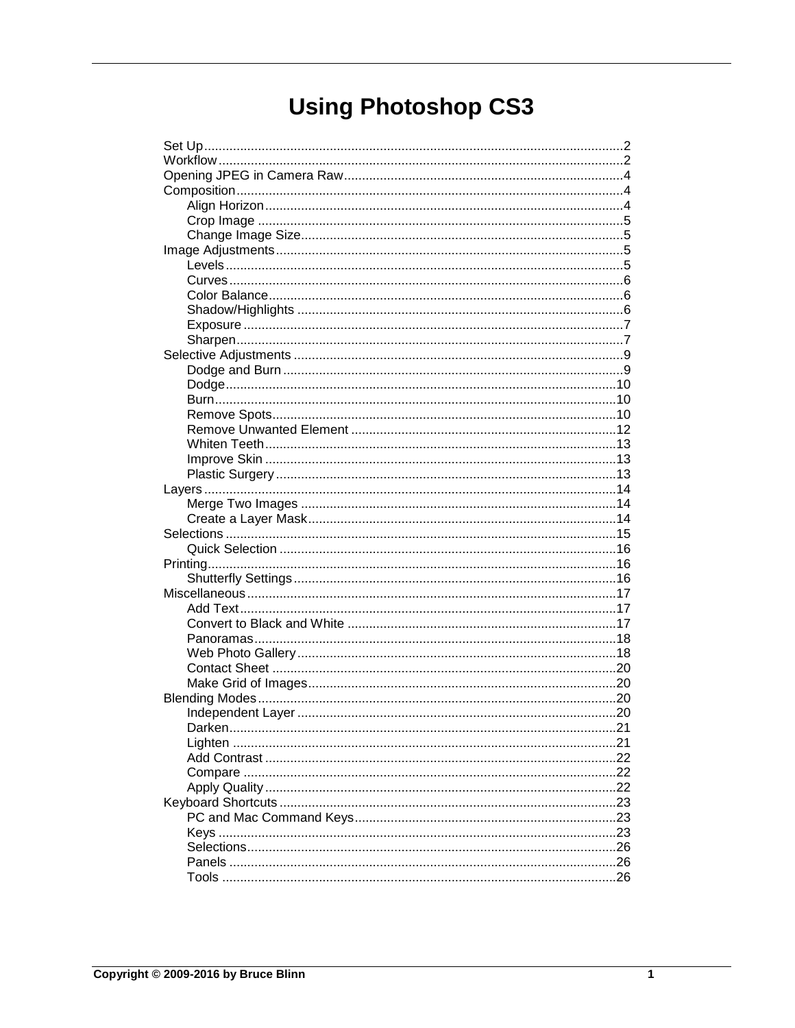# **Using Photoshop CS3**

| .21 |
|-----|
|     |
|     |
|     |
|     |
|     |
|     |
|     |
|     |
|     |
|     |
|     |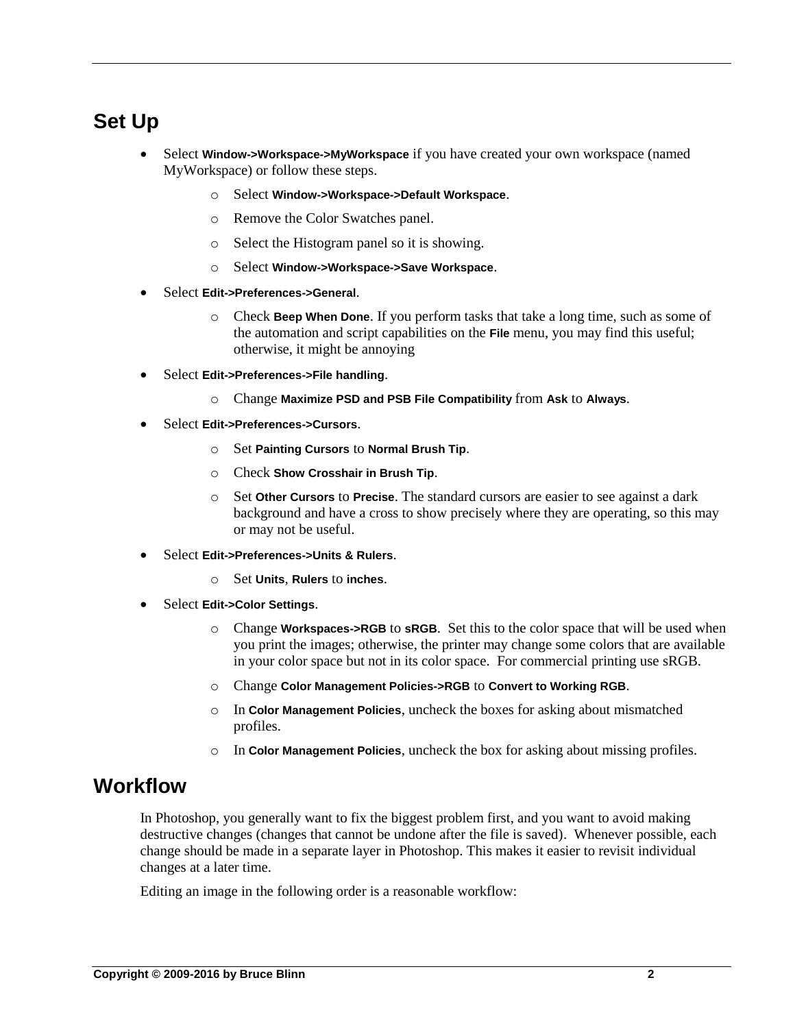# <span id="page-1-0"></span>**Set Up**

- Select **Window->Workspace->MyWorkspace** if you have created your own workspace (named MyWorkspace) or follow these steps.
	- o Select **Window->Workspace->Default Workspace**.
	- o Remove the Color Swatches panel.
	- o Select the Histogram panel so it is showing.
	- o Select **Window->Workspace->Save Workspace**.
- Select **Edit->Preferences->General**.
	- o Check **Beep When Done**. If you perform tasks that take a long time, such as some of the automation and script capabilities on the **File** menu, you may find this useful; otherwise, it might be annoying
- Select **Edit->Preferences->File handling**.
	- o Change **Maximize PSD and PSB File Compatibility** from **Ask** to **Always**.
- Select **Edit->Preferences->Cursors**.
	- o Set **Painting Cursors** to **Normal Brush Tip**.
	- o Check **Show Crosshair in Brush Tip**.
	- o Set **Other Cursors** to **Precise**. The standard cursors are easier to see against a dark background and have a cross to show precisely where they are operating, so this may or may not be useful.
- Select **Edit->Preferences->Units & Rulers**.
	- o Set **Units**, **Rulers** to **inches**.
- Select **Edit->Color Settings**.
	- o Change **Workspaces->RGB** to **sRGB**. Set this to the color space that will be used when you print the images; otherwise, the printer may change some colors that are available in your color space but not in its color space. For commercial printing use sRGB.
	- o Change **Color Management Policies->RGB** to **Convert to Working RGB**.
	- o In **Color Management Policies**, uncheck the boxes for asking about mismatched profiles.
	- o In **Color Management Policies**, uncheck the box for asking about missing profiles.

# <span id="page-1-1"></span>**Workflow**

In Photoshop, you generally want to fix the biggest problem first, and you want to avoid making destructive changes (changes that cannot be undone after the file is saved). Whenever possible, each change should be made in a separate layer in Photoshop. This makes it easier to revisit individual changes at a later time.

Editing an image in the following order is a reasonable workflow: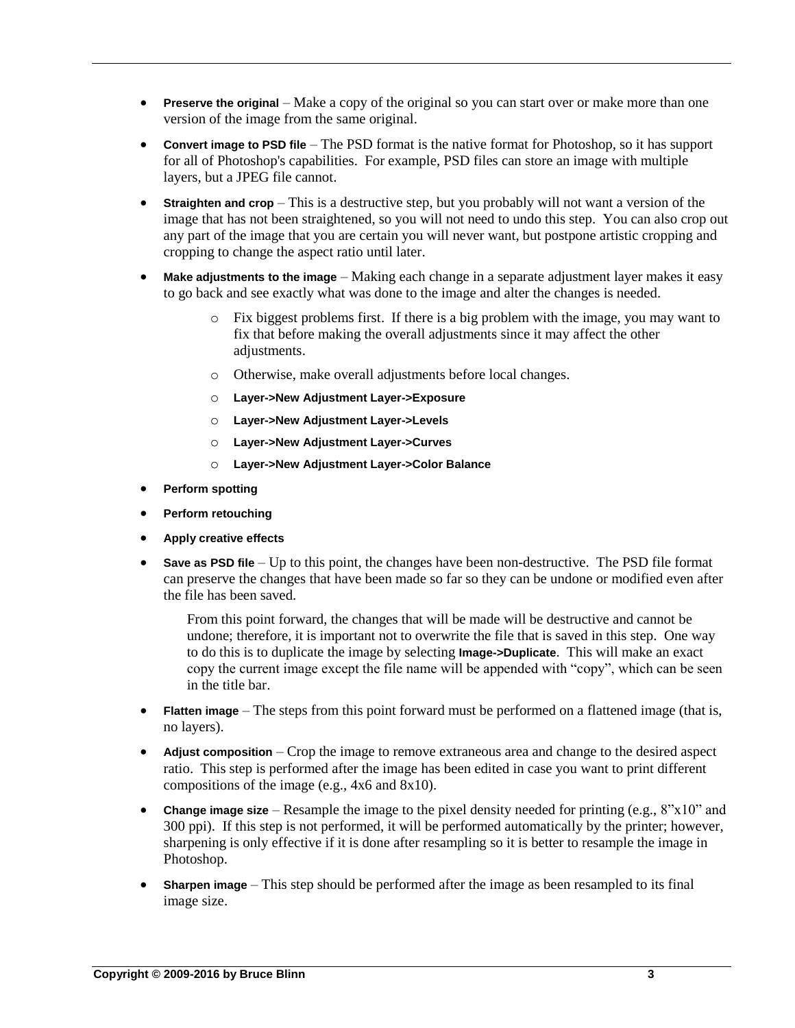- **Preserve the original** Make a copy of the original so you can start over or make more than one version of the image from the same original.
- **Convert image to PSD file** The PSD format is the native format for Photoshop, so it has support for all of Photoshop's capabilities. For example, PSD files can store an image with multiple layers, but a JPEG file cannot.
- **Straighten and crop** This is a destructive step, but you probably will not want a version of the image that has not been straightened, so you will not need to undo this step. You can also crop out any part of the image that you are certain you will never want, but postpone artistic cropping and cropping to change the aspect ratio until later.
- **Make adjustments to the image** Making each change in a separate adjustment layer makes it easy to go back and see exactly what was done to the image and alter the changes is needed.
	- o Fix biggest problems first. If there is a big problem with the image, you may want to fix that before making the overall adjustments since it may affect the other adjustments.
	- o Otherwise, make overall adjustments before local changes.
	- o **Layer->New Adjustment Layer->Exposure**
	- o **Layer->New Adjustment Layer->Levels**
	- o **Layer->New Adjustment Layer->Curves**
	- o **Layer->New Adjustment Layer->Color Balance**
- **Perform spotting**
- **Perform retouching**
- **Apply creative effects**
- **Save as PSD file** Up to this point, the changes have been non-destructive. The PSD file format can preserve the changes that have been made so far so they can be undone or modified even after the file has been saved.

From this point forward, the changes that will be made will be destructive and cannot be undone; therefore, it is important not to overwrite the file that is saved in this step. One way to do this is to duplicate the image by selecting **Image->Duplicate**. This will make an exact copy the current image except the file name will be appended with "copy", which can be seen in the title bar.

- **Flatten image** The steps from this point forward must be performed on a flattened image (that is, no layers).
- **Adjust composition** Crop the image to remove extraneous area and change to the desired aspect ratio. This step is performed after the image has been edited in case you want to print different compositions of the image (e.g., 4x6 and 8x10).
- **Change image size** Resample the image to the pixel density needed for printing (e.g., 8"x10" and 300 ppi). If this step is not performed, it will be performed automatically by the printer; however, sharpening is only effective if it is done after resampling so it is better to resample the image in Photoshop.
- **Sharpen image** This step should be performed after the image as been resampled to its final image size.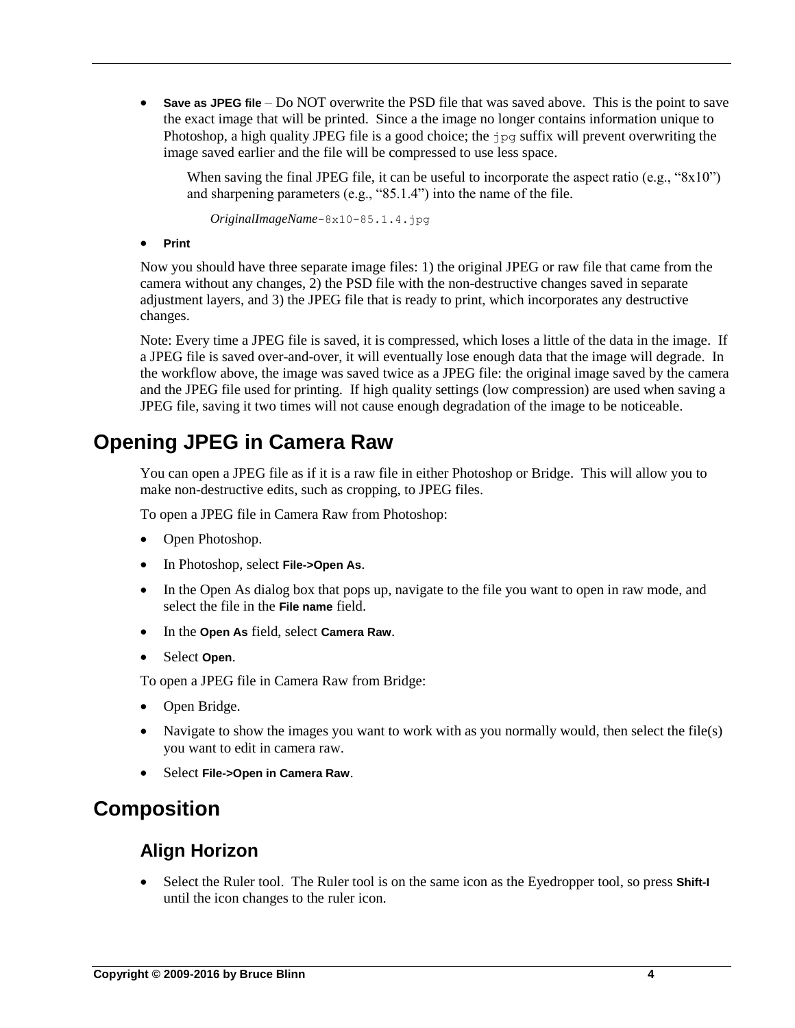**Save as JPEG file** – Do NOT overwrite the PSD file that was saved above. This is the point to save the exact image that will be printed. Since a the image no longer contains information unique to Photoshop, a high quality JPEG file is a good choice; the jpg suffix will prevent overwriting the image saved earlier and the file will be compressed to use less space.

When saving the final JPEG file, it can be useful to incorporate the aspect ratio (e.g., "8x10") and sharpening parameters (e.g., "85.1.4") into the name of the file.

*OriginalImageName*-8x10-85.1.4.jpg

**•** Print

Now you should have three separate image files: 1) the original JPEG or raw file that came from the camera without any changes, 2) the PSD file with the non-destructive changes saved in separate adjustment layers, and 3) the JPEG file that is ready to print, which incorporates any destructive changes.

Note: Every time a JPEG file is saved, it is compressed, which loses a little of the data in the image. If a JPEG file is saved over-and-over, it will eventually lose enough data that the image will degrade. In the workflow above, the image was saved twice as a JPEG file: the original image saved by the camera and the JPEG file used for printing. If high quality settings (low compression) are used when saving a JPEG file, saving it two times will not cause enough degradation of the image to be noticeable.

# <span id="page-3-0"></span>**Opening JPEG in Camera Raw**

You can open a JPEG file as if it is a raw file in either Photoshop or Bridge. This will allow you to make non-destructive edits, such as cropping, to JPEG files.

To open a JPEG file in Camera Raw from Photoshop:

- Open Photoshop.
- In Photoshop, select **File->Open As**.
- In the Open As dialog box that pops up, navigate to the file you want to open in raw mode, and select the file in the **File name** field.
- In the **Open As** field, select **Camera Raw**.
- Select **Open**.

To open a JPEG file in Camera Raw from Bridge:

- Open Bridge.
- Navigate to show the images you want to work with as you normally would, then select the file(s) you want to edit in camera raw.
- Select **File->Open in Camera Raw**.

# <span id="page-3-2"></span><span id="page-3-1"></span>**Composition**

# **Align Horizon**

 Select the Ruler tool. The Ruler tool is on the same icon as the Eyedropper tool, so press **Shift-I** until the icon changes to the ruler icon.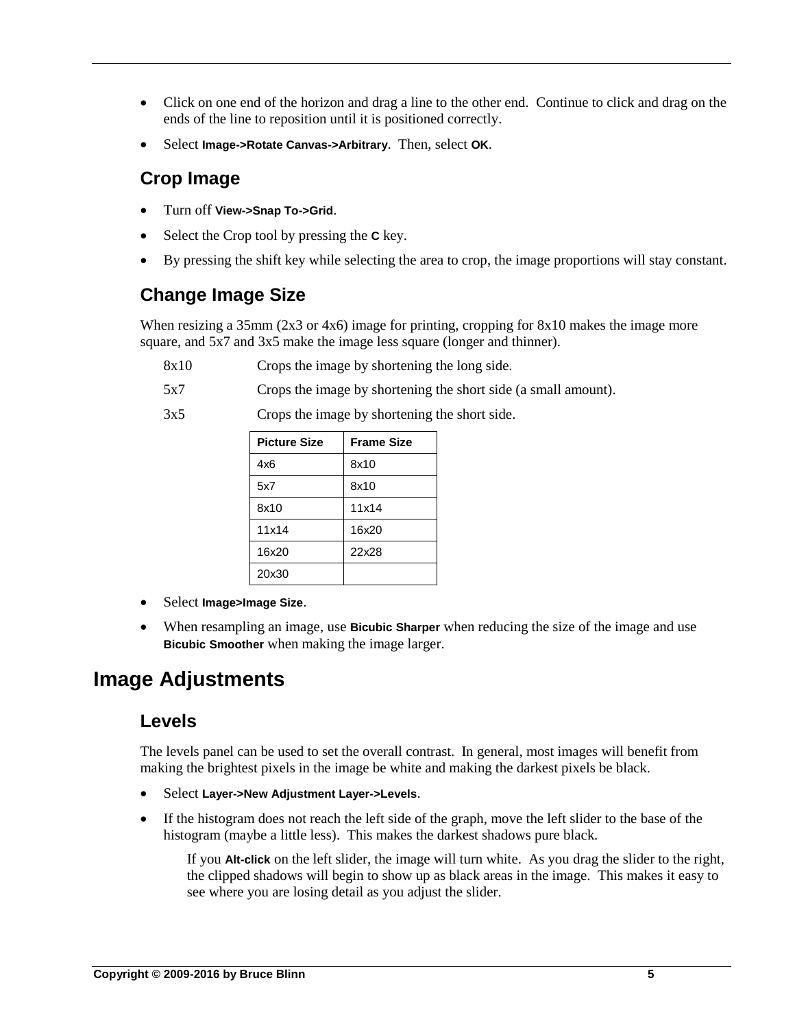- Click on one end of the horizon and drag a line to the other end. Continue to click and drag on the ends of the line to reposition until it is positioned correctly.
- Select **Image->Rotate Canvas->Arbitrary**. Then, select **OK**.

# <span id="page-4-0"></span>**Crop Image**

- Turn off **View->Snap To->Grid**.
- Select the Crop tool by pressing the **C** key.
- By pressing the shift key while selecting the area to crop, the image proportions will stay constant.

# <span id="page-4-1"></span>**Change Image Size**

When resizing a 35mm (2x3 or 4x6) image for printing, cropping for 8x10 makes the image more square, and 5x7 and 3x5 make the image less square (longer and thinner).

- 8x10 Crops the image by shortening the long side.
- 5x7 Crops the image by shortening the short side (a small amount).
- 3x5 Crops the image by shortening the short side.

| <b>Picture Size</b> | <b>Frame Size</b> |
|---------------------|-------------------|
| 4x6                 | 8x10              |
| 5x7                 | 8x10              |
| 8x10                | 11x14             |
| 11x14               | 16x20             |
| 16x20               | 22x28             |
| 20x30               |                   |

- Select **Image>Image Size**.
- When resampling an image, use **Bicubic Sharper** when reducing the size of the image and use **Bicubic Smoother** when making the image larger.

# <span id="page-4-3"></span><span id="page-4-2"></span>**Image Adjustments**

### **Levels**

The levels panel can be used to set the overall contrast. In general, most images will benefit from making the brightest pixels in the image be white and making the darkest pixels be black.

- Select **Layer->New Adjustment Layer->Levels**.
- If the histogram does not reach the left side of the graph, move the left slider to the base of the histogram (maybe a little less). This makes the darkest shadows pure black.

If you **Alt-click** on the left slider, the image will turn white. As you drag the slider to the right, the clipped shadows will begin to show up as black areas in the image. This makes it easy to see where you are losing detail as you adjust the slider.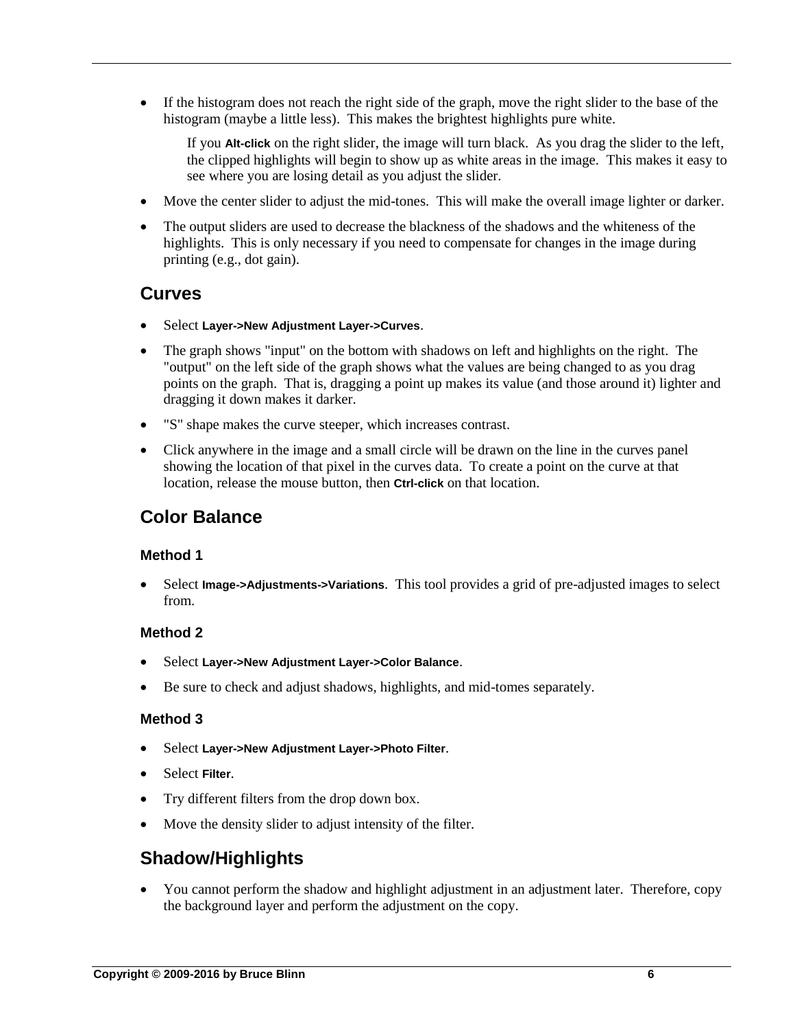If the histogram does not reach the right side of the graph, move the right slider to the base of the histogram (maybe a little less). This makes the brightest highlights pure white.

If you **Alt-click** on the right slider, the image will turn black. As you drag the slider to the left, the clipped highlights will begin to show up as white areas in the image. This makes it easy to see where you are losing detail as you adjust the slider.

- Move the center slider to adjust the mid-tones. This will make the overall image lighter or darker.
- The output sliders are used to decrease the blackness of the shadows and the whiteness of the highlights. This is only necessary if you need to compensate for changes in the image during printing (e.g., dot gain).

### <span id="page-5-0"></span>**Curves**

- Select **Layer->New Adjustment Layer->Curves**.
- The graph shows "input" on the bottom with shadows on left and highlights on the right. The "output" on the left side of the graph shows what the values are being changed to as you drag points on the graph. That is, dragging a point up makes its value (and those around it) lighter and dragging it down makes it darker.
- "S" shape makes the curve steeper, which increases contrast.
- Click anywhere in the image and a small circle will be drawn on the line in the curves panel showing the location of that pixel in the curves data. To create a point on the curve at that location, release the mouse button, then **Ctrl-click** on that location.

# <span id="page-5-1"></span>**Color Balance**

#### **Method 1**

 Select **Image->Adjustments->Variations**. This tool provides a grid of pre-adjusted images to select from.

#### **Method 2**

- Select **Layer->New Adjustment Layer->Color Balance**.
- Be sure to check and adjust shadows, highlights, and mid-tomes separately.

#### **Method 3**

- Select **Layer->New Adjustment Layer->Photo Filter**.
- Select **Filter**.
- Try different filters from the drop down box.
- Move the density slider to adjust intensity of the filter.

# <span id="page-5-2"></span>**Shadow/Highlights**

 You cannot perform the shadow and highlight adjustment in an adjustment later. Therefore, copy the background layer and perform the adjustment on the copy.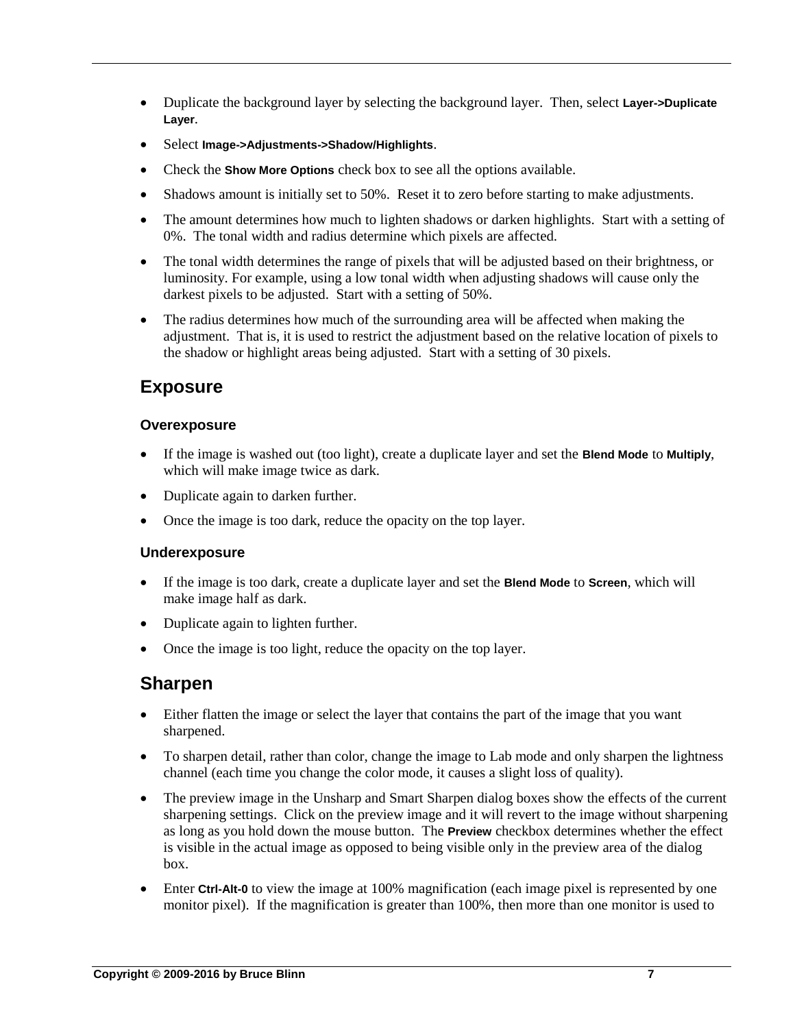- Duplicate the background layer by selecting the background layer. Then, select **Layer->Duplicate Layer**.
- Select **Image->Adjustments->Shadow/Highlights**.
- Check the **Show More Options** check box to see all the options available.
- Shadows amount is initially set to 50%. Reset it to zero before starting to make adjustments.
- The amount determines how much to lighten shadows or darken highlights. Start with a setting of 0%. The tonal width and radius determine which pixels are affected.
- The tonal width determines the range of pixels that will be adjusted based on their brightness, or luminosity. For example, using a low tonal width when adjusting shadows will cause only the darkest pixels to be adjusted. Start with a setting of 50%.
- The radius determines how much of the surrounding area will be affected when making the adjustment. That is, it is used to restrict the adjustment based on the relative location of pixels to the shadow or highlight areas being adjusted. Start with a setting of 30 pixels.

# <span id="page-6-0"></span>**Exposure**

#### **Overexposure**

- If the image is washed out (too light), create a duplicate layer and set the **Blend Mode** to **Multiply**, which will make image twice as dark.
- Duplicate again to darken further.
- Once the image is too dark, reduce the opacity on the top layer.

#### **Underexposure**

- If the image is too dark, create a duplicate layer and set the **Blend Mode** to **Screen**, which will make image half as dark.
- Duplicate again to lighten further.
- Once the image is too light, reduce the opacity on the top layer.

### <span id="page-6-1"></span>**Sharpen**

- Either flatten the image or select the layer that contains the part of the image that you want sharpened.
- To sharpen detail, rather than color, change the image to Lab mode and only sharpen the lightness channel (each time you change the color mode, it causes a slight loss of quality).
- The preview image in the Unsharp and Smart Sharpen dialog boxes show the effects of the current sharpening settings. Click on the preview image and it will revert to the image without sharpening as long as you hold down the mouse button. The **Preview** checkbox determines whether the effect is visible in the actual image as opposed to being visible only in the preview area of the dialog box.
- Enter **Ctrl-Alt-0** to view the image at 100% magnification (each image pixel is represented by one monitor pixel). If the magnification is greater than 100%, then more than one monitor is used to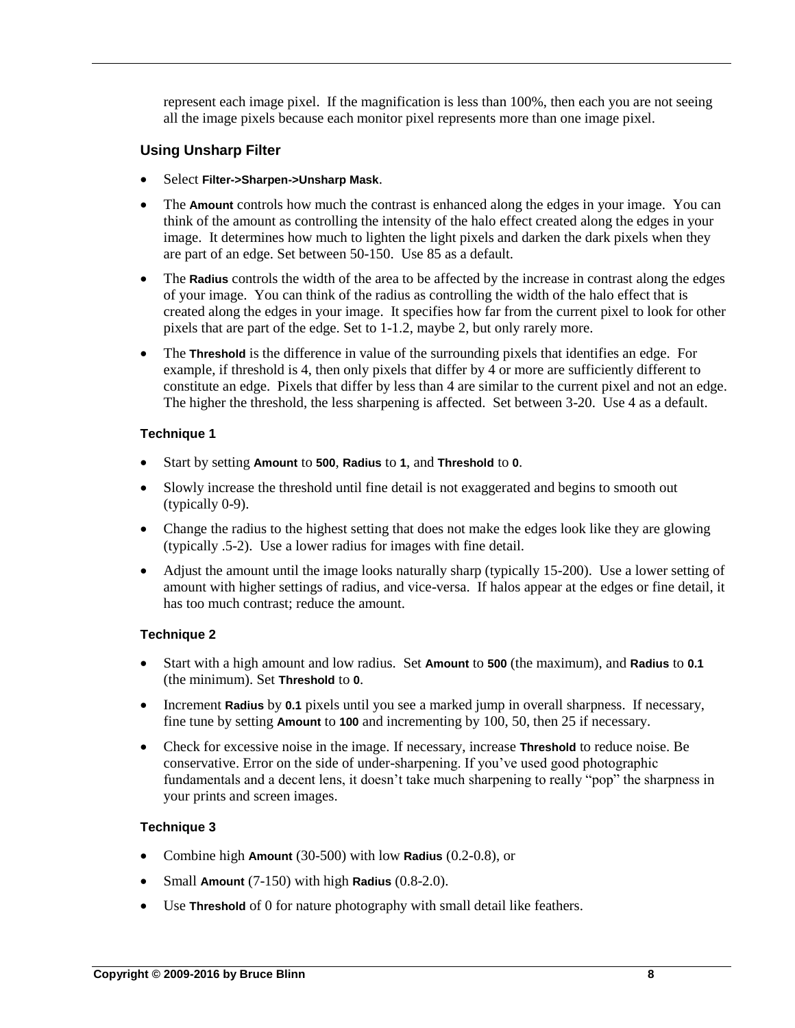represent each image pixel. If the magnification is less than 100%, then each you are not seeing all the image pixels because each monitor pixel represents more than one image pixel.

#### **Using Unsharp Filter**

- Select **Filter->Sharpen->Unsharp Mask**.
- The **Amount** controls how much the contrast is enhanced along the edges in your image. You can think of the amount as controlling the intensity of the halo effect created along the edges in your image. It determines how much to lighten the light pixels and darken the dark pixels when they are part of an edge. Set between 50-150. Use 85 as a default.
- The **Radius** controls the width of the area to be affected by the increase in contrast along the edges of your image. You can think of the radius as controlling the width of the halo effect that is created along the edges in your image. It specifies how far from the current pixel to look for other pixels that are part of the edge. Set to 1-1.2, maybe 2, but only rarely more.
- The **Threshold** is the difference in value of the surrounding pixels that identifies an edge. For example, if threshold is 4, then only pixels that differ by 4 or more are sufficiently different to constitute an edge. Pixels that differ by less than 4 are similar to the current pixel and not an edge. The higher the threshold, the less sharpening is affected. Set between 3-20. Use 4 as a default.

#### **Technique 1**

- Start by setting **Amount** to **500**, **Radius** to **1**, and **Threshold** to **0**.
- Slowly increase the threshold until fine detail is not exaggerated and begins to smooth out (typically 0-9).
- Change the radius to the highest setting that does not make the edges look like they are glowing (typically .5-2). Use a lower radius for images with fine detail.
- Adjust the amount until the image looks naturally sharp (typically 15-200). Use a lower setting of amount with higher settings of radius, and vice-versa. If halos appear at the edges or fine detail, it has too much contrast; reduce the amount.

#### **Technique 2**

- Start with a high amount and low radius. Set **Amount** to **500** (the maximum), and **Radius** to **0.1** (the minimum). Set **Threshold** to **0**.
- Increment **Radius** by **0.1** pixels until you see a marked jump in overall sharpness. If necessary, fine tune by setting **Amount** to **100** and incrementing by 100, 50, then 25 if necessary.
- Check for excessive noise in the image. If necessary, increase **Threshold** to reduce noise. Be conservative. Error on the side of under-sharpening. If you've used good photographic fundamentals and a decent lens, it doesn't take much sharpening to really "pop" the sharpness in your prints and screen images.

#### **Technique 3**

- Combine high **Amount** (30-500) with low **Radius** (0.2-0.8), or
- Small **Amount** (7-150) with high **Radius** (0.8-2.0).
- Use **Threshold** of 0 for nature photography with small detail like feathers.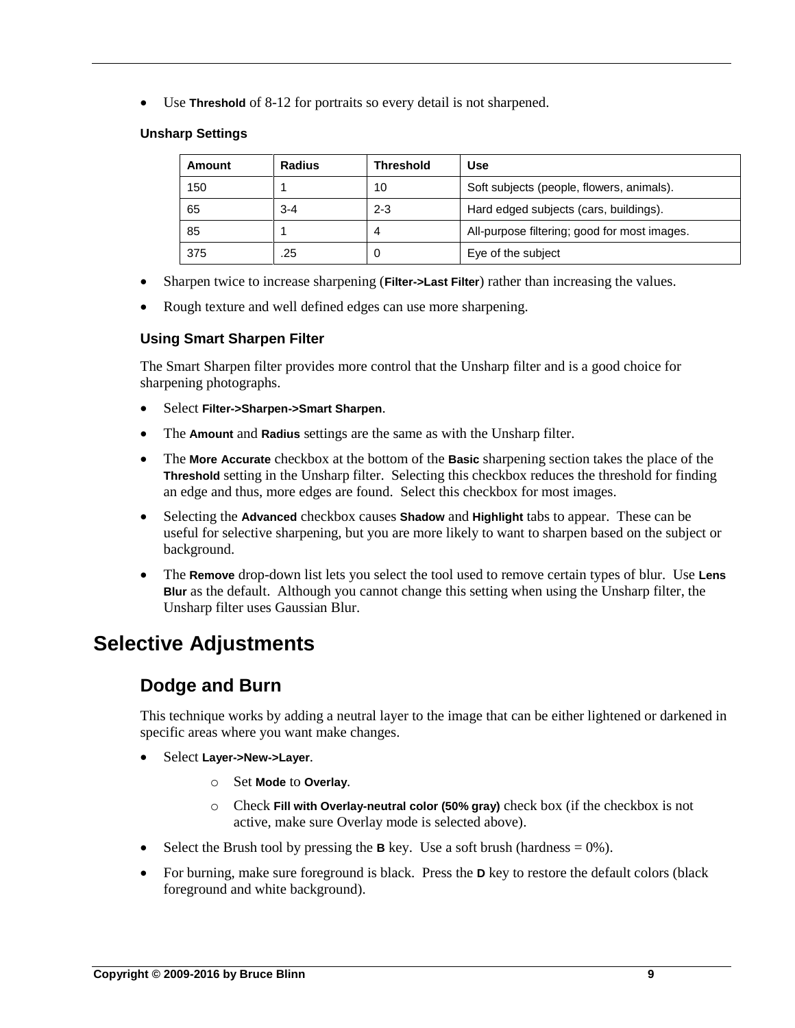Use **Threshold** of 8-12 for portraits so every detail is not sharpened.

#### **Unsharp Settings**

| Amount | Radius  | <b>Threshold</b> | Use                                          |
|--------|---------|------------------|----------------------------------------------|
| 150    |         | 10               | Soft subjects (people, flowers, animals).    |
| 65     | $3 - 4$ | $2 - 3$          | Hard edged subjects (cars, buildings).       |
| 85     |         | 4                | All-purpose filtering; good for most images. |
| 375    | .25     | O                | Eye of the subject                           |

- Sharpen twice to increase sharpening (**Filter->Last Filter**) rather than increasing the values.
- Rough texture and well defined edges can use more sharpening.

#### **Using Smart Sharpen Filter**

The Smart Sharpen filter provides more control that the Unsharp filter and is a good choice for sharpening photographs.

- Select **Filter->Sharpen->Smart Sharpen**.
- The **Amount** and **Radius** settings are the same as with the Unsharp filter.
- The **More Accurate** checkbox at the bottom of the **Basic** sharpening section takes the place of the **Threshold** setting in the Unsharp filter. Selecting this checkbox reduces the threshold for finding an edge and thus, more edges are found. Select this checkbox for most images.
- Selecting the **Advanced** checkbox causes **Shadow** and **Highlight** tabs to appear. These can be useful for selective sharpening, but you are more likely to want to sharpen based on the subject or background.
- The **Remove** drop-down list lets you select the tool used to remove certain types of blur. Use **Lens Blur** as the default. Although you cannot change this setting when using the Unsharp filter, the Unsharp filter uses Gaussian Blur.

# <span id="page-8-1"></span><span id="page-8-0"></span>**Selective Adjustments**

# **Dodge and Burn**

This technique works by adding a neutral layer to the image that can be either lightened or darkened in specific areas where you want make changes.

- Select **Layer->New->Layer**.
	- o Set **Mode** to **Overlay**.
	- o Check **Fill with Overlay-neutral color (50% gray)** check box (if the checkbox is not active, make sure Overlay mode is selected above).
- Select the Brush tool by pressing the **B** key. Use a soft brush (hardness  $= 0\%$ ).
- For burning, make sure foreground is black. Press the **D** key to restore the default colors (black foreground and white background).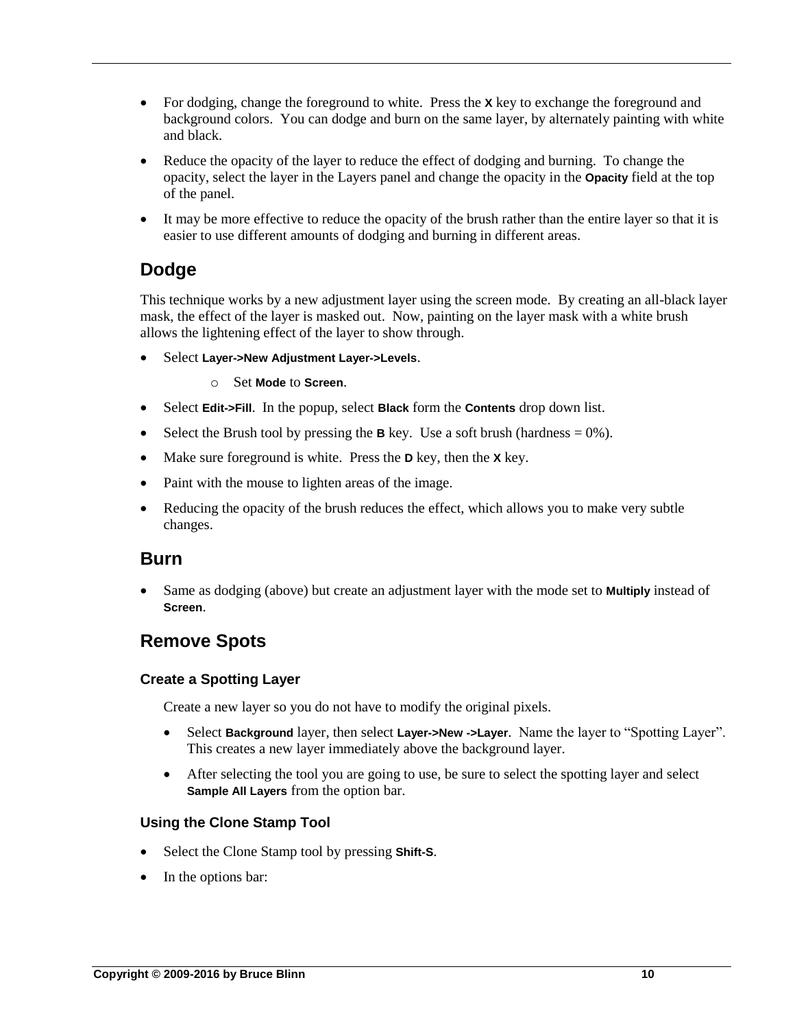- For dodging, change the foreground to white. Press the **X** key to exchange the foreground and background colors. You can dodge and burn on the same layer, by alternately painting with white and black.
- Reduce the opacity of the layer to reduce the effect of dodging and burning. To change the opacity, select the layer in the Layers panel and change the opacity in the **Opacity** field at the top of the panel.
- It may be more effective to reduce the opacity of the brush rather than the entire layer so that it is easier to use different amounts of dodging and burning in different areas.

# <span id="page-9-0"></span>**Dodge**

This technique works by a new adjustment layer using the screen mode. By creating an all-black layer mask, the effect of the layer is masked out. Now, painting on the layer mask with a white brush allows the lightening effect of the layer to show through.

- Select **Layer->New Adjustment Layer->Levels**.
	- o Set **Mode** to **Screen**.
- Select **Edit->Fill**. In the popup, select **Black** form the **Contents** drop down list.
- Select the Brush tool by pressing the **B** key. Use a soft brush (hardness  $= 0\%$ ).
- Make sure foreground is white. Press the **D** key, then the **X** key.
- Paint with the mouse to lighten areas of the image.
- Reducing the opacity of the brush reduces the effect, which allows you to make very subtle changes.

### <span id="page-9-1"></span>**Burn**

 Same as dodging (above) but create an adjustment layer with the mode set to **Multiply** instead of **Screen**.

# <span id="page-9-2"></span>**Remove Spots**

#### **Create a Spotting Layer**

Create a new layer so you do not have to modify the original pixels.

- Select **Background** layer, then select **Layer->New ->Layer**. Name the layer to "Spotting Layer". This creates a new layer immediately above the background layer.
- After selecting the tool you are going to use, be sure to select the spotting layer and select **Sample All Layers** from the option bar.

#### **Using the Clone Stamp Tool**

- Select the Clone Stamp tool by pressing **Shift-S**.
- In the options bar: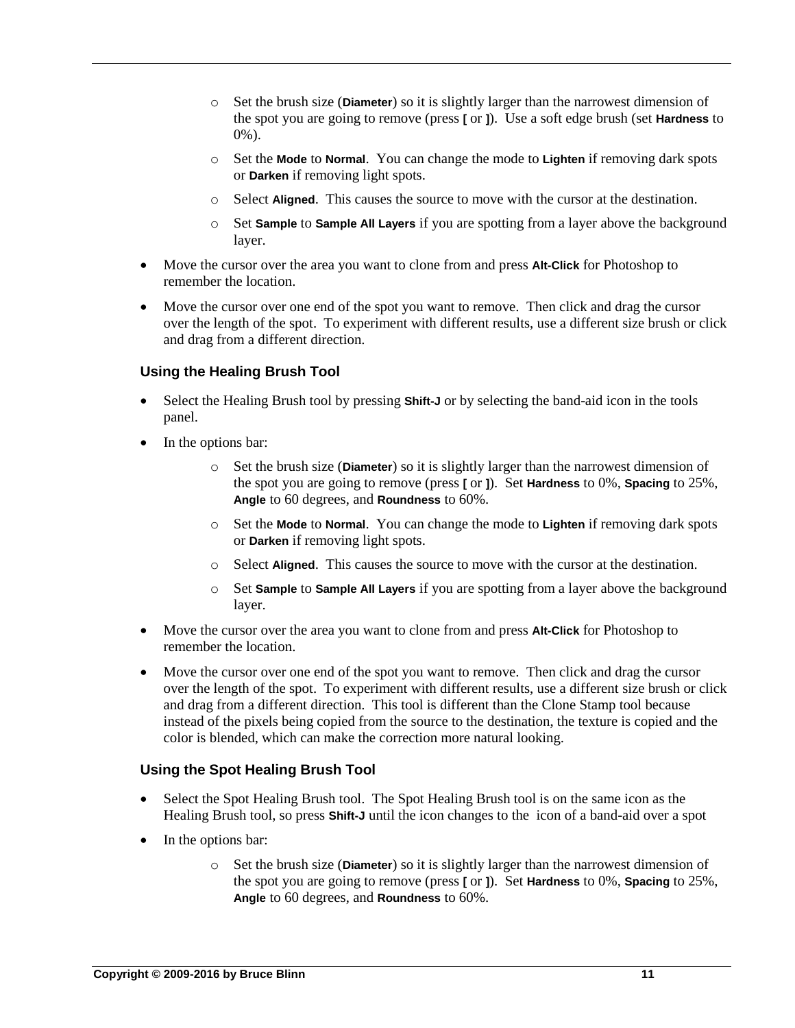- o Set the brush size (**Diameter**) so it is slightly larger than the narrowest dimension of the spot you are going to remove (press **[** or **]**). Use a soft edge brush (set **Hardness** to 0%).
- o Set the **Mode** to **Normal**. You can change the mode to **Lighten** if removing dark spots or **Darken** if removing light spots.
- o Select **Aligned**. This causes the source to move with the cursor at the destination.
- o Set **Sample** to **Sample All Layers** if you are spotting from a layer above the background layer.
- Move the cursor over the area you want to clone from and press **Alt-Click** for Photoshop to remember the location.
- Move the cursor over one end of the spot you want to remove. Then click and drag the cursor over the length of the spot. To experiment with different results, use a different size brush or click and drag from a different direction.

#### **Using the Healing Brush Tool**

- Select the Healing Brush tool by pressing **Shift-J** or by selecting the band-aid icon in the tools panel.
- In the options bar:
	- o Set the brush size (**Diameter**) so it is slightly larger than the narrowest dimension of the spot you are going to remove (press **[** or **]**). Set **Hardness** to 0%, **Spacing** to 25%, **Angle** to 60 degrees, and **Roundness** to 60%.
	- o Set the **Mode** to **Normal**. You can change the mode to **Lighten** if removing dark spots or **Darken** if removing light spots.
	- o Select **Aligned**. This causes the source to move with the cursor at the destination.
	- o Set **Sample** to **Sample All Layers** if you are spotting from a layer above the background layer.
- Move the cursor over the area you want to clone from and press **Alt-Click** for Photoshop to remember the location.
- Move the cursor over one end of the spot you want to remove. Then click and drag the cursor over the length of the spot. To experiment with different results, use a different size brush or click and drag from a different direction. This tool is different than the Clone Stamp tool because instead of the pixels being copied from the source to the destination, the texture is copied and the color is blended, which can make the correction more natural looking.

#### **Using the Spot Healing Brush Tool**

- Select the Spot Healing Brush tool. The Spot Healing Brush tool is on the same icon as the Healing Brush tool, so press **Shift-J** until the icon changes to the icon of a band-aid over a spot
- In the options bar:
	- o Set the brush size (**Diameter**) so it is slightly larger than the narrowest dimension of the spot you are going to remove (press **[** or **]**). Set **Hardness** to 0%, **Spacing** to 25%, **Angle** to 60 degrees, and **Roundness** to 60%.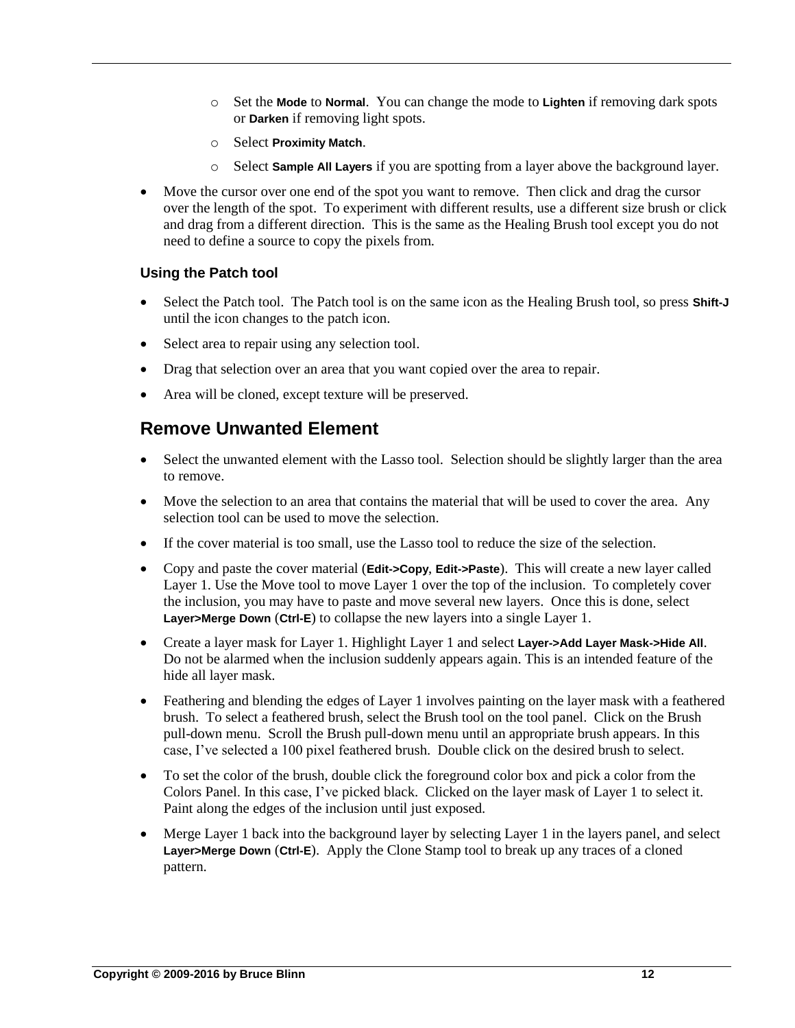- o Set the **Mode** to **Normal**. You can change the mode to **Lighten** if removing dark spots or **Darken** if removing light spots.
- o Select **Proximity Match**.
- o Select **Sample All Layers** if you are spotting from a layer above the background layer.
- Move the cursor over one end of the spot you want to remove. Then click and drag the cursor over the length of the spot. To experiment with different results, use a different size brush or click and drag from a different direction. This is the same as the Healing Brush tool except you do not need to define a source to copy the pixels from.

#### **Using the Patch tool**

- Select the Patch tool. The Patch tool is on the same icon as the Healing Brush tool, so press **Shift-J** until the icon changes to the patch icon.
- Select area to repair using any selection tool.
- Drag that selection over an area that you want copied over the area to repair.
- Area will be cloned, except texture will be preserved.

### <span id="page-11-0"></span>**Remove Unwanted Element**

- Select the unwanted element with the Lasso tool. Selection should be slightly larger than the area to remove.
- Move the selection to an area that contains the material that will be used to cover the area. Any selection tool can be used to move the selection.
- If the cover material is too small, use the Lasso tool to reduce the size of the selection.
- Copy and paste the cover material (**Edit->Copy**, **Edit->Paste**). This will create a new layer called Layer 1. Use the Move tool to move Layer 1 over the top of the inclusion. To completely cover the inclusion, you may have to paste and move several new layers. Once this is done, select **Layer>Merge Down** (**Ctrl-E**) to collapse the new layers into a single Layer 1.
- Create a layer mask for Layer 1. Highlight Layer 1 and select **Layer->Add Layer Mask->Hide All**. Do not be alarmed when the inclusion suddenly appears again. This is an intended feature of the hide all layer mask.
- Feathering and blending the edges of Layer 1 involves painting on the layer mask with a feathered brush. To select a feathered brush, select the Brush tool on the tool panel. Click on the Brush pull-down menu. Scroll the Brush pull-down menu until an appropriate brush appears. In this case, I've selected a 100 pixel feathered brush. Double click on the desired brush to select.
- To set the color of the brush, double click the foreground color box and pick a color from the Colors Panel. In this case, I've picked black. Clicked on the layer mask of Layer 1 to select it. Paint along the edges of the inclusion until just exposed.
- Merge Layer 1 back into the background layer by selecting Layer 1 in the layers panel, and select **Layer>Merge Down** (**Ctrl-E**). Apply the Clone Stamp tool to break up any traces of a cloned pattern.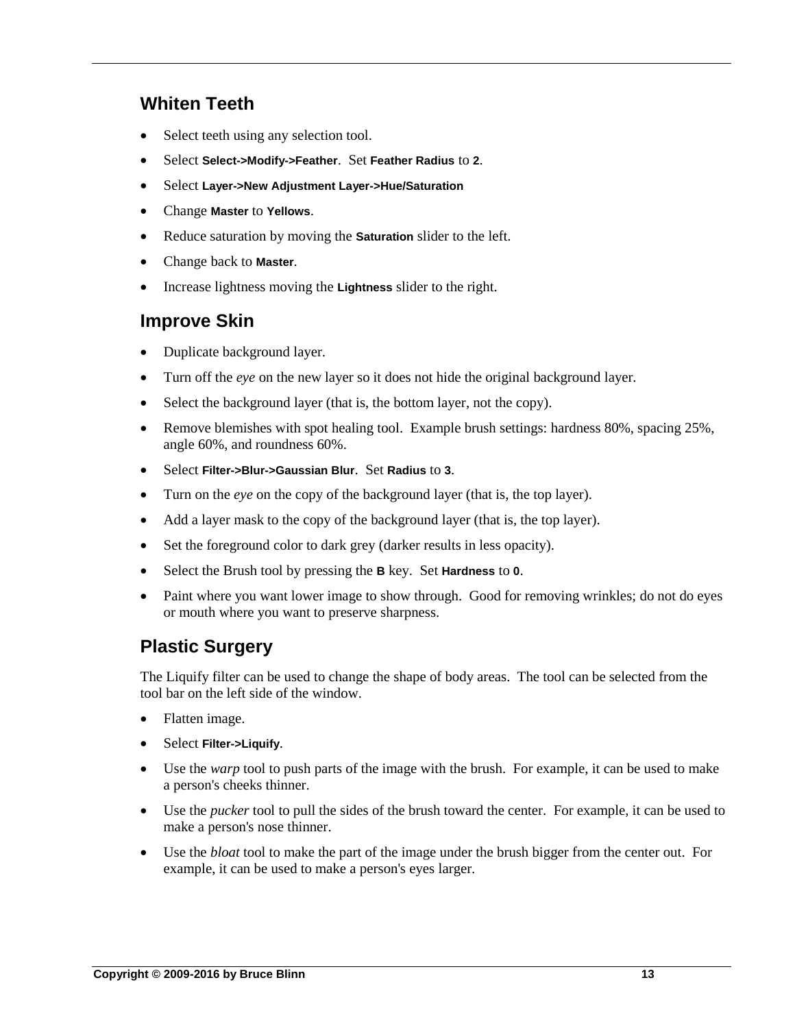### <span id="page-12-0"></span>**Whiten Teeth**

- Select teeth using any selection tool.
- Select **Select->Modify->Feather**. Set **Feather Radius** to **2**.
- Select **Layer->New Adjustment Layer->Hue/Saturation**
- Change **Master** to **Yellows**.
- Reduce saturation by moving the **Saturation** slider to the left.
- Change back to **Master**.
- Increase lightness moving the **Lightness** slider to the right.

### <span id="page-12-1"></span>**Improve Skin**

- Duplicate background layer.
- Turn off the *eye* on the new layer so it does not hide the original background layer.
- Select the background layer (that is, the bottom layer, not the copy).
- Remove blemishes with spot healing tool. Example brush settings: hardness 80%, spacing 25%, angle 60%, and roundness 60%.
- Select **Filter->Blur->Gaussian Blur**. Set **Radius** to **3**.
- Turn on the *eye* on the copy of the background layer (that is, the top layer).
- Add a layer mask to the copy of the background layer (that is, the top layer).
- Set the foreground color to dark grey (darker results in less opacity).
- Select the Brush tool by pressing the **B** key. Set **Hardness** to **0**.
- Paint where you want lower image to show through. Good for removing wrinkles; do not do eyes or mouth where you want to preserve sharpness.

# <span id="page-12-2"></span>**Plastic Surgery**

The Liquify filter can be used to change the shape of body areas. The tool can be selected from the tool bar on the left side of the window.

- Flatten image.
- Select **Filter->Liquify**.
- Use the *warp* tool to push parts of the image with the brush. For example, it can be used to make a person's cheeks thinner.
- Use the *pucker* tool to pull the sides of the brush toward the center. For example, it can be used to make a person's nose thinner.
- Use the *bloat* tool to make the part of the image under the brush bigger from the center out. For example, it can be used to make a person's eyes larger.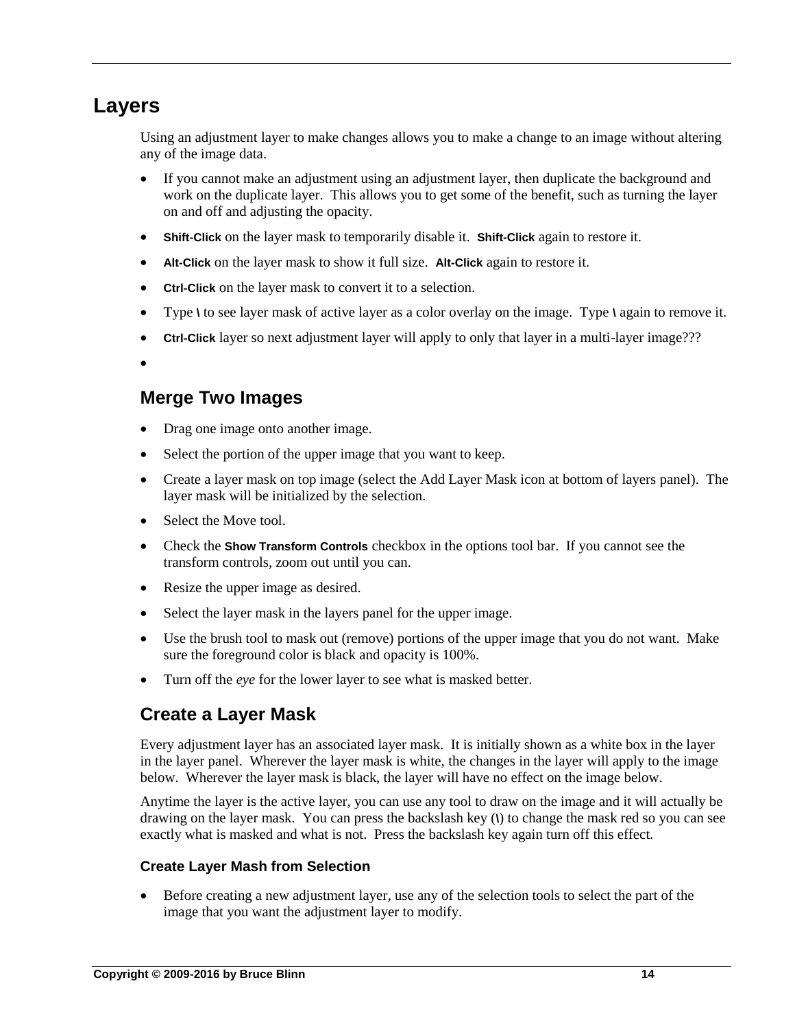# <span id="page-13-0"></span>**Layers**

Using an adjustment layer to make changes allows you to make a change to an image without altering any of the image data.

- If you cannot make an adjustment using an adjustment layer, then duplicate the background and work on the duplicate layer. This allows you to get some of the benefit, such as turning the layer on and off and adjusting the opacity.
- **Shift-Click** on the layer mask to temporarily disable it. **Shift-Click** again to restore it.
- **Alt-Click** on the layer mask to show it full size. **Alt-Click** again to restore it.
- **Ctrl-Click** on the layer mask to convert it to a selection.
- Type **\** to see layer mask of active layer as a color overlay on the image. Type **\** again to remove it.
- **Ctrl-Click** layer so next adjustment layer will apply to only that layer in a multi-layer image???

 $\bullet$ 

# <span id="page-13-1"></span>**Merge Two Images**

- Drag one image onto another image.
- Select the portion of the upper image that you want to keep.
- Create a layer mask on top image (select the Add Layer Mask icon at bottom of layers panel). The layer mask will be initialized by the selection.
- Select the Move tool.
- Check the **Show Transform Controls** checkbox in the options tool bar. If you cannot see the transform controls, zoom out until you can.
- Resize the upper image as desired.
- Select the layer mask in the layers panel for the upper image.
- Use the brush tool to mask out (remove) portions of the upper image that you do not want. Make sure the foreground color is black and opacity is 100%.
- <span id="page-13-2"></span>Turn off the *eye* for the lower layer to see what is masked better.

### **Create a Layer Mask**

Every adjustment layer has an associated layer mask. It is initially shown as a white box in the layer in the layer panel. Wherever the layer mask is white, the changes in the layer will apply to the image below. Wherever the layer mask is black, the layer will have no effect on the image below.

Anytime the layer is the active layer, you can use any tool to draw on the image and it will actually be drawing on the layer mask. You can press the backslash key (**\**) to change the mask red so you can see exactly what is masked and what is not. Press the backslash key again turn off this effect.

#### **Create Layer Mash from Selection**

 Before creating a new adjustment layer, use any of the selection tools to select the part of the image that you want the adjustment layer to modify.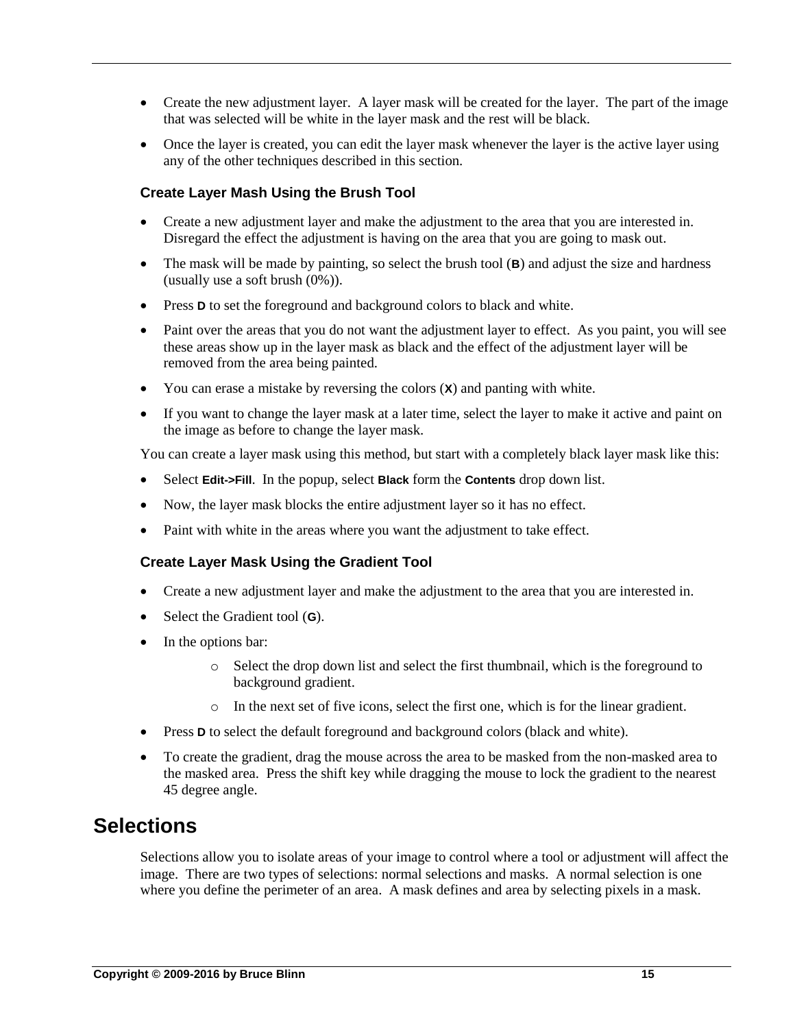- Create the new adjustment layer. A layer mask will be created for the layer. The part of the image that was selected will be white in the layer mask and the rest will be black.
- Once the layer is created, you can edit the layer mask whenever the layer is the active layer using any of the other techniques described in this section.

#### **Create Layer Mash Using the Brush Tool**

- Create a new adjustment layer and make the adjustment to the area that you are interested in. Disregard the effect the adjustment is having on the area that you are going to mask out.
- The mask will be made by painting, so select the brush tool (**B**) and adjust the size and hardness (usually use a soft brush (0%)).
- **Press D** to set the foreground and background colors to black and white.
- Paint over the areas that you do not want the adjustment layer to effect. As you paint, you will see these areas show up in the layer mask as black and the effect of the adjustment layer will be removed from the area being painted.
- You can erase a mistake by reversing the colors (**X**) and panting with white.
- If you want to change the layer mask at a later time, select the layer to make it active and paint on the image as before to change the layer mask.

You can create a layer mask using this method, but start with a completely black layer mask like this:

- Select **Edit->Fill**. In the popup, select **Black** form the **Contents** drop down list.
- Now, the layer mask blocks the entire adjustment layer so it has no effect.
- Paint with white in the areas where you want the adjustment to take effect.

#### **Create Layer Mask Using the Gradient Tool**

- Create a new adjustment layer and make the adjustment to the area that you are interested in.
- Select the Gradient tool (**G**).
- In the options bar:
	- o Select the drop down list and select the first thumbnail, which is the foreground to background gradient.
	- o In the next set of five icons, select the first one, which is for the linear gradient.
- Press **D** to select the default foreground and background colors (black and white).
- To create the gradient, drag the mouse across the area to be masked from the non-masked area to the masked area. Press the shift key while dragging the mouse to lock the gradient to the nearest 45 degree angle.

# <span id="page-14-0"></span>**Selections**

Selections allow you to isolate areas of your image to control where a tool or adjustment will affect the image. There are two types of selections: normal selections and masks. A normal selection is one where you define the perimeter of an area. A mask defines and area by selecting pixels in a mask.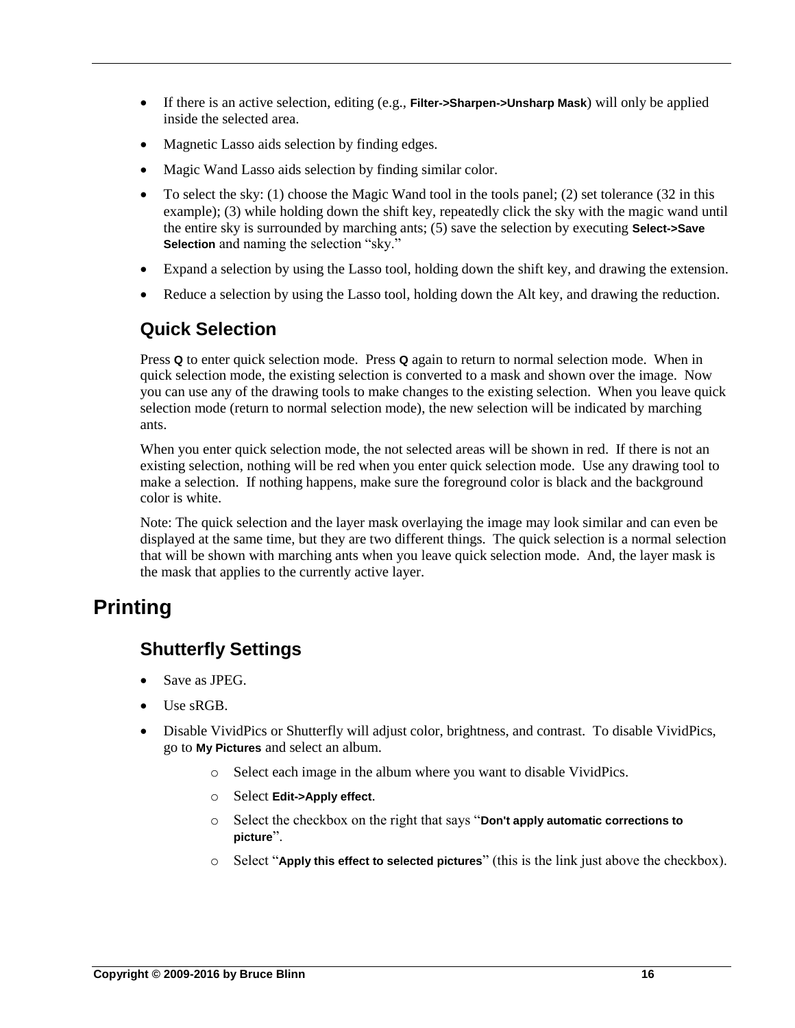- If there is an active selection, editing (e.g., **Filter->Sharpen->Unsharp Mask**) will only be applied inside the selected area.
- Magnetic Lasso aids selection by finding edges.
- Magic Wand Lasso aids selection by finding similar color.
- $\bullet$  To select the sky: (1) choose the Magic Wand tool in the tools panel; (2) set tolerance (32 in this example); (3) while holding down the shift key, repeatedly click the sky with the magic wand until the entire sky is surrounded by marching ants; (5) save the selection by executing **Select->Save Selection** and naming the selection "sky."
- Expand a selection by using the Lasso tool, holding down the shift key, and drawing the extension.
- Reduce a selection by using the Lasso tool, holding down the Alt key, and drawing the reduction.

### <span id="page-15-0"></span>**Quick Selection**

Press **Q** to enter quick selection mode. Press **Q** again to return to normal selection mode. When in quick selection mode, the existing selection is converted to a mask and shown over the image. Now you can use any of the drawing tools to make changes to the existing selection. When you leave quick selection mode (return to normal selection mode), the new selection will be indicated by marching ants.

When you enter quick selection mode, the not selected areas will be shown in red. If there is not an existing selection, nothing will be red when you enter quick selection mode. Use any drawing tool to make a selection. If nothing happens, make sure the foreground color is black and the background color is white.

Note: The quick selection and the layer mask overlaying the image may look similar and can even be displayed at the same time, but they are two different things. The quick selection is a normal selection that will be shown with marching ants when you leave quick selection mode. And, the layer mask is the mask that applies to the currently active layer.

# <span id="page-15-2"></span><span id="page-15-1"></span>**Printing**

# **Shutterfly Settings**

- Save as JPEG.
- Use sRGB.
- Disable VividPics or Shutterfly will adjust color, brightness, and contrast. To disable VividPics, go to **My Pictures** and select an album.
	- o Select each image in the album where you want to disable VividPics.
	- o Select **Edit->Apply effect**.
	- o Select the checkbox on the right that says "**Don't apply automatic corrections to picture**".
	- o Select "**Apply this effect to selected pictures**" (this is the link just above the checkbox).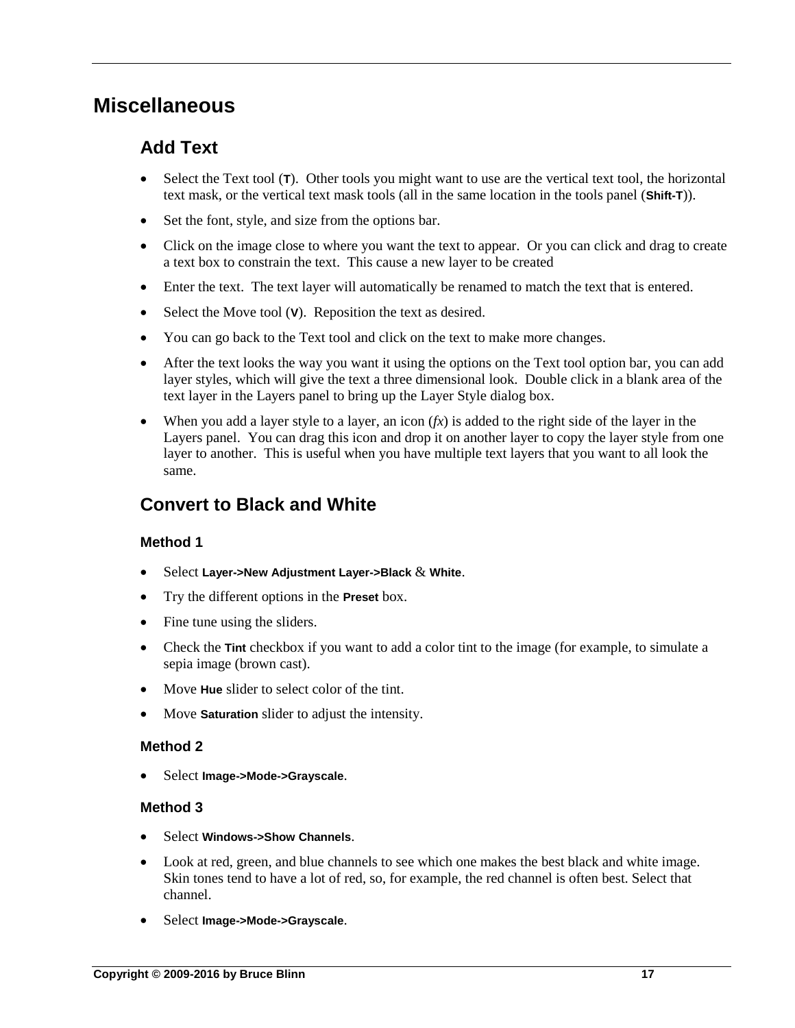# <span id="page-16-1"></span><span id="page-16-0"></span>**Miscellaneous**

# **Add Text**

- Select the Text tool (**T**). Other tools you might want to use are the vertical text tool, the horizontal text mask, or the vertical text mask tools (all in the same location in the tools panel (**Shift-T**)).
- Set the font, style, and size from the options bar.
- Click on the image close to where you want the text to appear. Or you can click and drag to create a text box to constrain the text. This cause a new layer to be created
- Enter the text. The text layer will automatically be renamed to match the text that is entered.
- Select the Move tool (V). Reposition the text as desired.
- You can go back to the Text tool and click on the text to make more changes.
- After the text looks the way you want it using the options on the Text tool option bar, you can add layer styles, which will give the text a three dimensional look. Double click in a blank area of the text layer in the Layers panel to bring up the Layer Style dialog box.
- When you add a layer style to a layer, an icon  $(fx)$  is added to the right side of the layer in the Layers panel. You can drag this icon and drop it on another layer to copy the layer style from one layer to another. This is useful when you have multiple text layers that you want to all look the same.

### <span id="page-16-2"></span>**Convert to Black and White**

#### **Method 1**

- Select **Layer->New Adjustment Layer->Black** & **White**.
- Try the different options in the **Preset** box.
- Fine tune using the sliders.
- Check the **Tint** checkbox if you want to add a color tint to the image (for example, to simulate a sepia image (brown cast).
- Move **Hue** slider to select color of the tint.
- Move **Saturation** slider to adjust the intensity.

#### **Method 2**

Select **Image->Mode->Grayscale**.

#### **Method 3**

- Select **Windows->Show Channels**.
- Look at red, green, and blue channels to see which one makes the best black and white image. Skin tones tend to have a lot of red, so, for example, the red channel is often best. Select that channel.
- Select **Image->Mode->Grayscale**.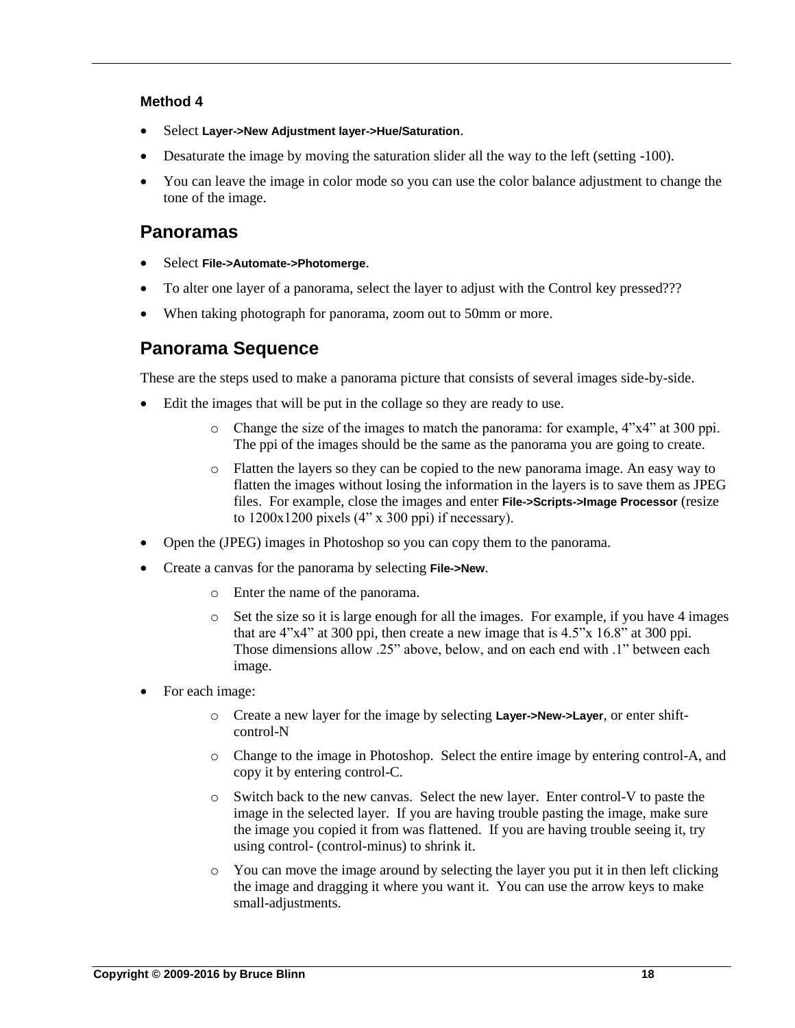#### **Method 4**

- Select **Layer->New Adjustment layer->Hue/Saturation**.
- Desaturate the image by moving the saturation slider all the way to the left (setting -100).
- You can leave the image in color mode so you can use the color balance adjustment to change the tone of the image.

### <span id="page-17-0"></span>**Panoramas**

- Select **File->Automate->Photomerge**.
- To alter one layer of a panorama, select the layer to adjust with the Control key pressed???
- <span id="page-17-1"></span>When taking photograph for panorama, zoom out to 50mm or more.

# **Panorama Sequence**

These are the steps used to make a panorama picture that consists of several images side-by-side.

- Edit the images that will be put in the collage so they are ready to use.
	- o Change the size of the images to match the panorama: for example, 4"x4" at 300 ppi. The ppi of the images should be the same as the panorama you are going to create.
	- o Flatten the layers so they can be copied to the new panorama image. An easy way to flatten the images without losing the information in the layers is to save them as JPEG files. For example, close the images and enter **File->Scripts->Image Processor** (resize to  $1200x1200$  pixels  $(4" x 300$  ppi) if necessary).
- Open the (JPEG) images in Photoshop so you can copy them to the panorama.
- Create a canvas for the panorama by selecting **File->New**.
	- o Enter the name of the panorama.
	- $\circ$  Set the size so it is large enough for all the images. For example, if you have 4 images that are  $4"x4"$  at 300 ppi, then create a new image that is  $4.5"x$  16.8" at 300 ppi. Those dimensions allow .25" above, below, and on each end with .1" between each image.
- For each image:
	- o Create a new layer for the image by selecting **Layer->New->Layer**, or enter shiftcontrol-N
	- o Change to the image in Photoshop. Select the entire image by entering control-A, and copy it by entering control-C.
	- o Switch back to the new canvas. Select the new layer. Enter control-V to paste the image in the selected layer. If you are having trouble pasting the image, make sure the image you copied it from was flattened. If you are having trouble seeing it, try using control- (control-minus) to shrink it.
	- o You can move the image around by selecting the layer you put it in then left clicking the image and dragging it where you want it. You can use the arrow keys to make small-adjustments.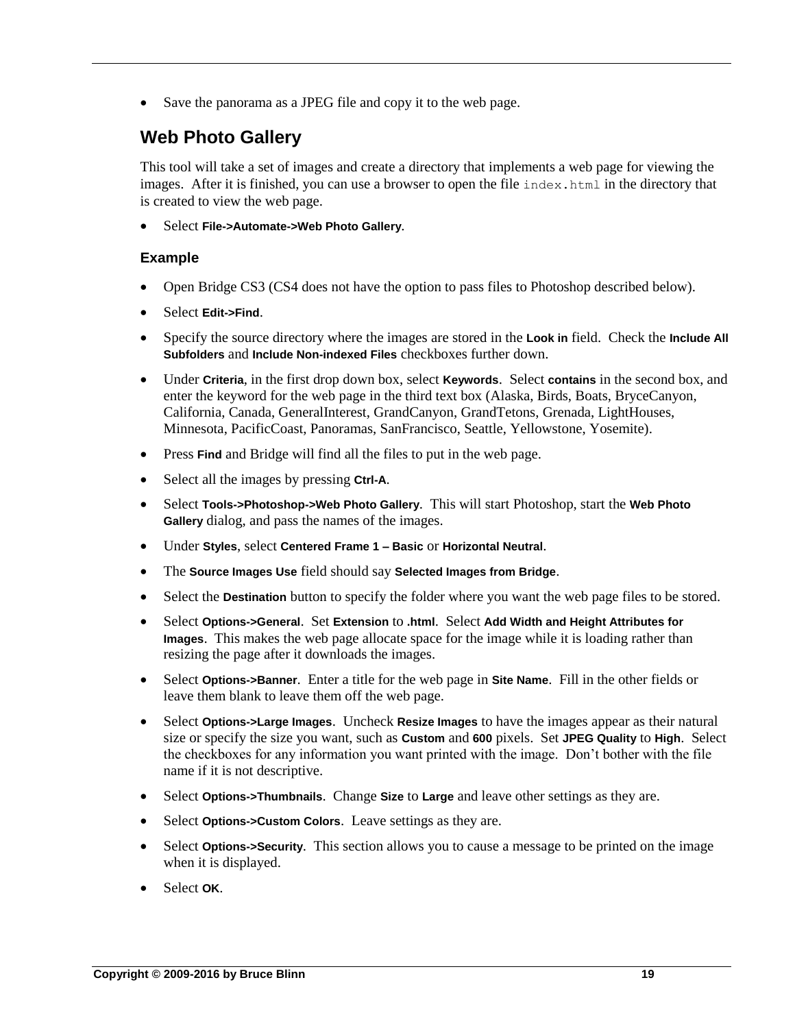• Save the panorama as a JPEG file and copy it to the web page.

# **Web Photo Gallery**

This tool will take a set of images and create a directory that implements a web page for viewing the images. After it is finished, you can use a browser to open the file index.html in the directory that is created to view the web page.

Select **File->Automate->Web Photo Gallery**.

#### **Example**

- Open Bridge CS3 (CS4 does not have the option to pass files to Photoshop described below).
- Select **Edit->Find**.
- Specify the source directory where the images are stored in the **Look in** field. Check the **Include All Subfolders** and **Include Non-indexed Files** checkboxes further down.
- Under **Criteria**, in the first drop down box, select **Keywords**. Select **contains** in the second box, and enter the keyword for the web page in the third text box (Alaska, Birds, Boats, BryceCanyon, California, Canada, GeneralInterest, GrandCanyon, GrandTetons, Grenada, LightHouses, Minnesota, PacificCoast, Panoramas, SanFrancisco, Seattle, Yellowstone, Yosemite).
- Press **Find** and Bridge will find all the files to put in the web page.
- Select all the images by pressing **Ctrl-A**.
- Select **Tools->Photoshop->Web Photo Gallery**. This will start Photoshop, start the **Web Photo Gallery** dialog, and pass the names of the images.
- Under **Styles**, select **Centered Frame 1 – Basic** or **Horizontal Neutral**.
- The **Source Images Use** field should say **Selected Images from Bridge**.
- Select the **Destination** button to specify the folder where you want the web page files to be stored.
- Select **Options->General**. Set **Extension** to **.html**. Select **Add Width and Height Attributes for Images**. This makes the web page allocate space for the image while it is loading rather than resizing the page after it downloads the images.
- Select **Options->Banner**. Enter a title for the web page in **Site Name**. Fill in the other fields or leave them blank to leave them off the web page.
- Select **Options->Large Images**. Uncheck **Resize Images** to have the images appear as their natural size or specify the size you want, such as **Custom** and **600** pixels. Set **JPEG Quality** to **High**. Select the checkboxes for any information you want printed with the image. Don't bother with the file name if it is not descriptive.
- Select **Options->Thumbnails**. Change **Size** to **Large** and leave other settings as they are.
- Select **Options->Custom Colors**. Leave settings as they are.
- Select **Options->Security**. This section allows you to cause a message to be printed on the image when it is displayed.
- Select **OK**.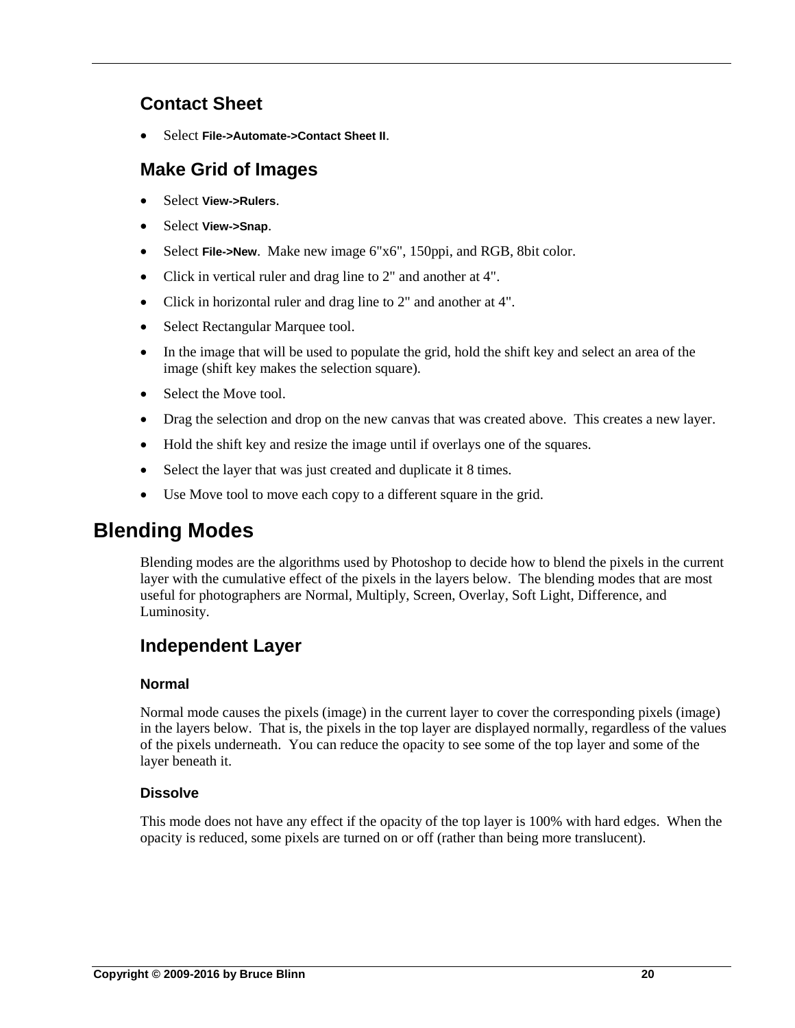# <span id="page-19-0"></span>**Contact Sheet**

Select **File->Automate->Contact Sheet II**.

### <span id="page-19-1"></span>**Make Grid of Images**

- Select **View->Rulers**.
- Select **View->Snap**.
- Select **File->New**. Make new image 6"x6", 150ppi, and RGB, 8bit color.
- Click in vertical ruler and drag line to 2" and another at 4".
- Click in horizontal ruler and drag line to 2" and another at 4".
- Select Rectangular Marquee tool.
- In the image that will be used to populate the grid, hold the shift key and select an area of the image (shift key makes the selection square).
- Select the Move tool.
- Drag the selection and drop on the new canvas that was created above. This creates a new layer.
- Hold the shift key and resize the image until if overlays one of the squares.
- Select the layer that was just created and duplicate it 8 times.
- Use Move tool to move each copy to a different square in the grid.

# <span id="page-19-2"></span>**Blending Modes**

Blending modes are the algorithms used by Photoshop to decide how to blend the pixels in the current layer with the cumulative effect of the pixels in the layers below. The blending modes that are most useful for photographers are Normal, Multiply, Screen, Overlay, Soft Light, Difference, and Luminosity.

# <span id="page-19-3"></span>**Independent Layer**

#### **Normal**

Normal mode causes the pixels (image) in the current layer to cover the corresponding pixels (image) in the layers below. That is, the pixels in the top layer are displayed normally, regardless of the values of the pixels underneath. You can reduce the opacity to see some of the top layer and some of the layer beneath it.

#### **Dissolve**

This mode does not have any effect if the opacity of the top layer is 100% with hard edges. When the opacity is reduced, some pixels are turned on or off (rather than being more translucent).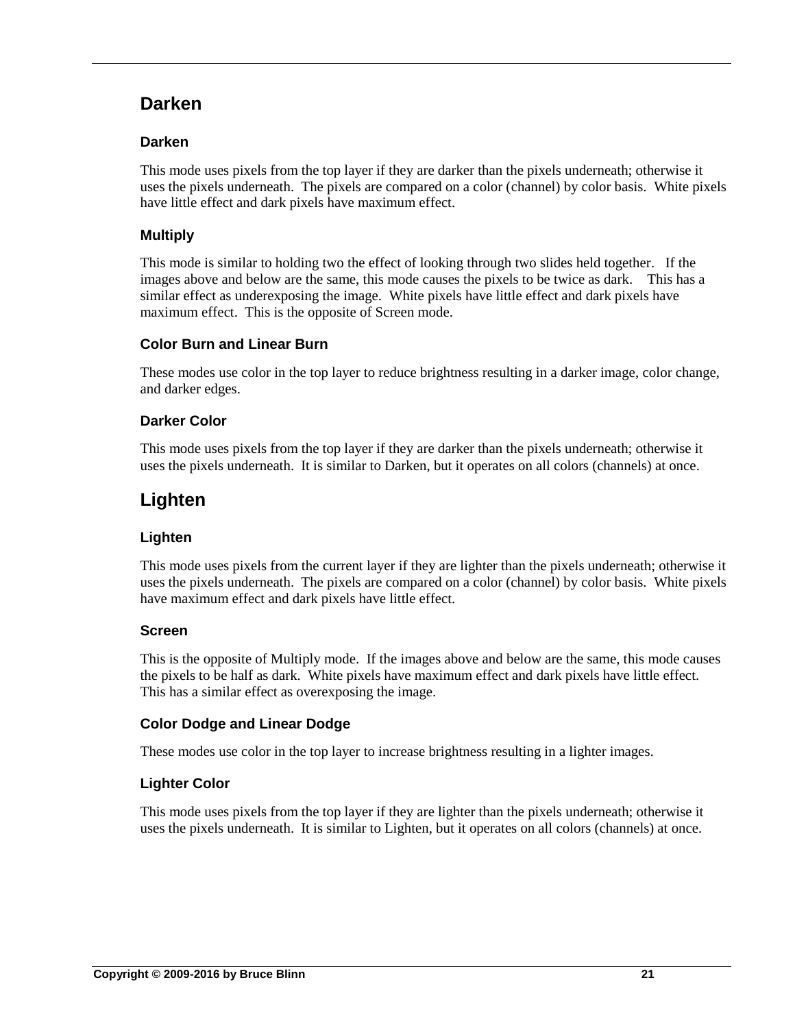### <span id="page-20-0"></span>**Darken**

#### **Darken**

This mode uses pixels from the top layer if they are darker than the pixels underneath; otherwise it uses the pixels underneath. The pixels are compared on a color (channel) by color basis. White pixels have little effect and dark pixels have maximum effect.

#### **Multiply**

This mode is similar to holding two the effect of looking through two slides held together. If the images above and below are the same, this mode causes the pixels to be twice as dark. This has a similar effect as underexposing the image. White pixels have little effect and dark pixels have maximum effect. This is the opposite of Screen mode.

#### **Color Burn and Linear Burn**

These modes use color in the top layer to reduce brightness resulting in a darker image, color change, and darker edges.

#### **Darker Color**

This mode uses pixels from the top layer if they are darker than the pixels underneath; otherwise it uses the pixels underneath. It is similar to Darken, but it operates on all colors (channels) at once.

# <span id="page-20-1"></span>**Lighten**

#### **Lighten**

This mode uses pixels from the current layer if they are lighter than the pixels underneath; otherwise it uses the pixels underneath. The pixels are compared on a color (channel) by color basis. White pixels have maximum effect and dark pixels have little effect.

#### **Screen**

This is the opposite of Multiply mode. If the images above and below are the same, this mode causes the pixels to be half as dark. White pixels have maximum effect and dark pixels have little effect. This has a similar effect as overexposing the image.

#### **Color Dodge and Linear Dodge**

These modes use color in the top layer to increase brightness resulting in a lighter images.

#### **Lighter Color**

This mode uses pixels from the top layer if they are lighter than the pixels underneath; otherwise it uses the pixels underneath. It is similar to Lighten, but it operates on all colors (channels) at once.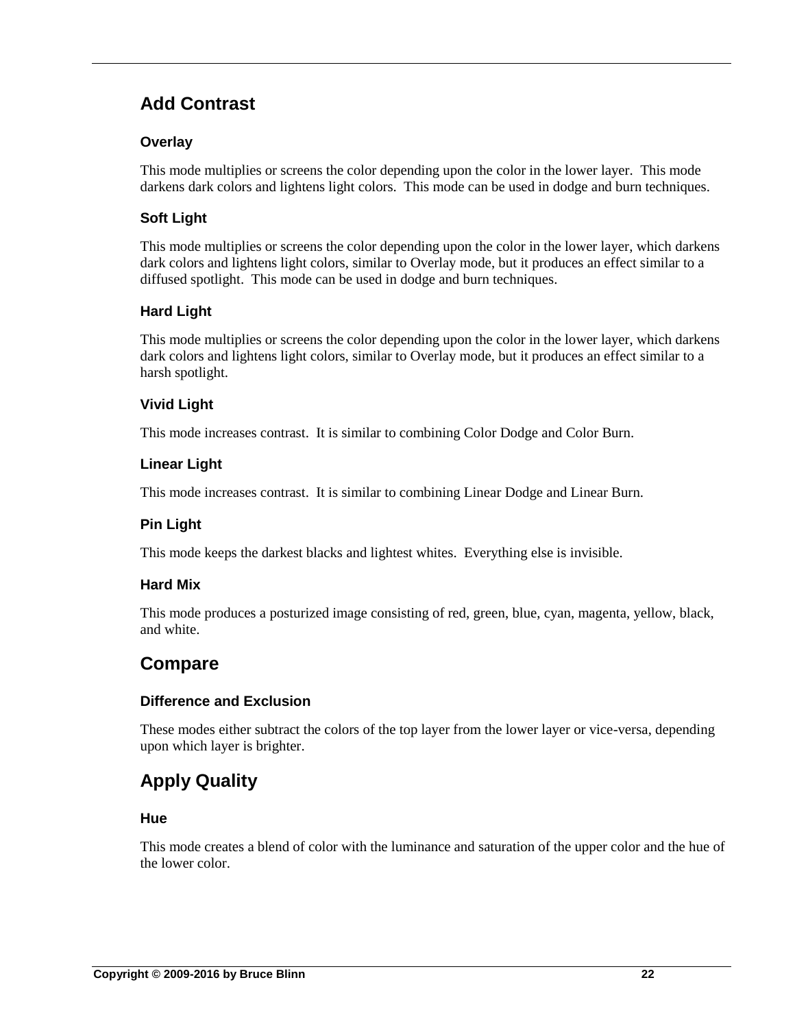# <span id="page-21-0"></span>**Add Contrast**

#### **Overlay**

This mode multiplies or screens the color depending upon the color in the lower layer. This mode darkens dark colors and lightens light colors. This mode can be used in dodge and burn techniques.

#### **Soft Light**

This mode multiplies or screens the color depending upon the color in the lower layer, which darkens dark colors and lightens light colors, similar to Overlay mode, but it produces an effect similar to a diffused spotlight. This mode can be used in dodge and burn techniques.

#### **Hard Light**

This mode multiplies or screens the color depending upon the color in the lower layer, which darkens dark colors and lightens light colors, similar to Overlay mode, but it produces an effect similar to a harsh spotlight.

#### **Vivid Light**

This mode increases contrast. It is similar to combining Color Dodge and Color Burn.

#### **Linear Light**

This mode increases contrast. It is similar to combining Linear Dodge and Linear Burn.

#### **Pin Light**

This mode keeps the darkest blacks and lightest whites. Everything else is invisible.

#### **Hard Mix**

This mode produces a posturized image consisting of red, green, blue, cyan, magenta, yellow, black, and white.

### <span id="page-21-1"></span>**Compare**

#### **Difference and Exclusion**

These modes either subtract the colors of the top layer from the lower layer or vice-versa, depending upon which layer is brighter.

# <span id="page-21-2"></span>**Apply Quality**

#### **Hue**

This mode creates a blend of color with the luminance and saturation of the upper color and the hue of the lower color.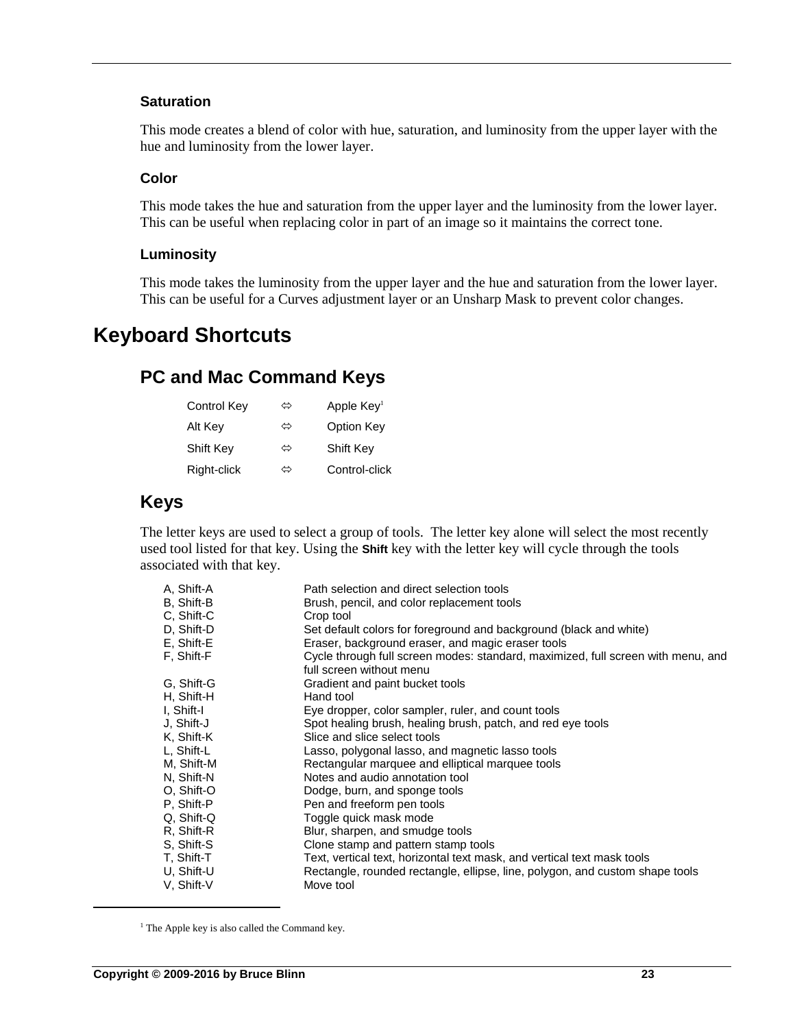#### **Saturation**

This mode creates a blend of color with hue, saturation, and luminosity from the upper layer with the hue and luminosity from the lower layer.

#### **Color**

This mode takes the hue and saturation from the upper layer and the luminosity from the lower layer. This can be useful when replacing color in part of an image so it maintains the correct tone.

#### **Luminosity**

This mode takes the luminosity from the upper layer and the hue and saturation from the lower layer. This can be useful for a Curves adjustment layer or an Unsharp Mask to prevent color changes.

# <span id="page-22-1"></span><span id="page-22-0"></span>**Keyboard Shortcuts**

### **PC and Mac Command Keys**

| Control Key | ⇔ | Apple Key <sup>1</sup> |
|-------------|---|------------------------|
| Alt Key     | ⇔ | Option Key             |
| Shift Key   | ⇔ | Shift Key              |
| Right-click | ⇔ | Control-click          |

### <span id="page-22-2"></span>**Keys**

The letter keys are used to select a group of tools. The letter key alone will select the most recently used tool listed for that key. Using the **Shift** key with the letter key will cycle through the tools associated with that key.

| A. Shift-A | Path selection and direct selection tools                                        |
|------------|----------------------------------------------------------------------------------|
| B, Shift-B | Brush, pencil, and color replacement tools                                       |
| C. Shift-C | Crop tool                                                                        |
| D, Shift-D | Set default colors for foreground and background (black and white)               |
| E, Shift-E | Eraser, background eraser, and magic eraser tools                                |
| F. Shift-F | Cycle through full screen modes: standard, maximized, full screen with menu, and |
|            | full screen without menu                                                         |
| G. Shift-G | Gradient and paint bucket tools                                                  |
| H, Shift-H | Hand tool                                                                        |
| I, Shift-I | Eye dropper, color sampler, ruler, and count tools                               |
| J. Shift-J | Spot healing brush, healing brush, patch, and red eye tools                      |
| K, Shift-K | Slice and slice select tools                                                     |
| L, Shift-L | Lasso, polygonal lasso, and magnetic lasso tools                                 |
| M, Shift-M | Rectangular marquee and elliptical marquee tools                                 |
| N, Shift-N | Notes and audio annotation tool                                                  |
| O. Shift-O | Dodge, burn, and sponge tools                                                    |
| P. Shift-P | Pen and freeform pen tools                                                       |
| Q, Shift-Q | Toggle quick mask mode                                                           |
| R. Shift-R | Blur, sharpen, and smudge tools                                                  |
| S. Shift-S | Clone stamp and pattern stamp tools                                              |
| T. Shift-T | Text, vertical text, horizontal text mask, and vertical text mask tools          |
| U. Shift-U | Rectangle, rounded rectangle, ellipse, line, polygon, and custom shape tools     |
| V. Shift-V | Move tool                                                                        |

 $<sup>1</sup>$  The Apple key is also called the Command key.</sup>

 $\overline{a}$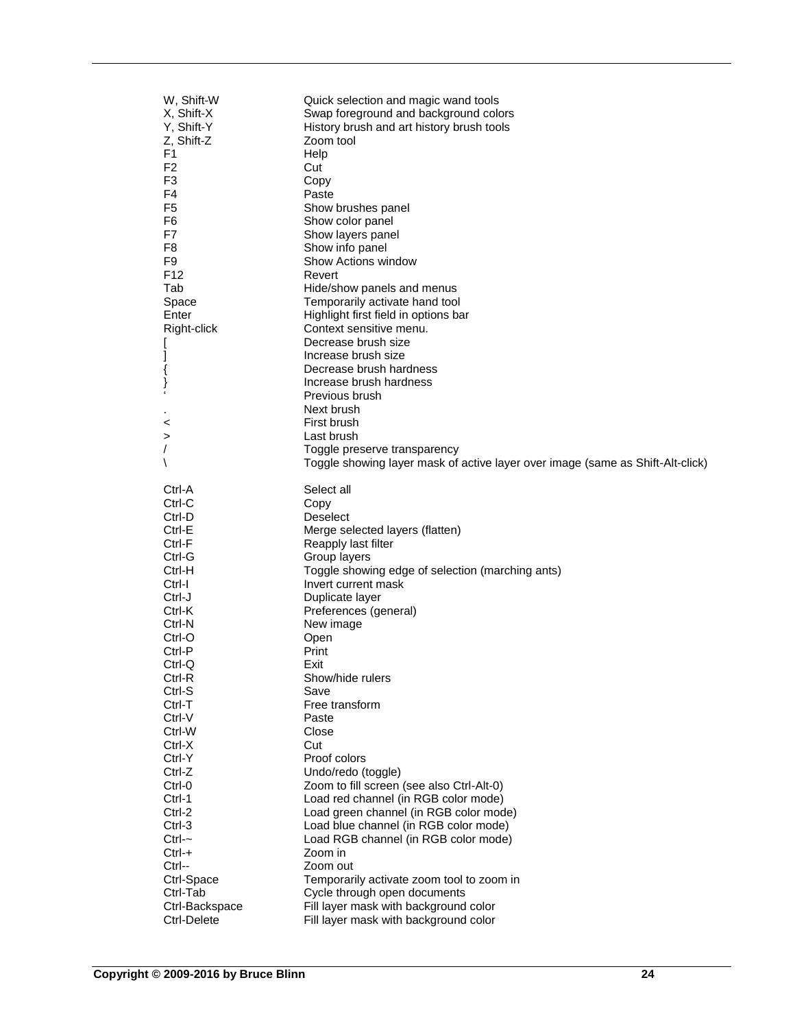| W, Shift-W<br>X, Shift-X<br>Y, Shift-Y<br>Z, Shift-Z<br>F <sub>1</sub><br>F <sub>2</sub><br>F <sub>3</sub><br>F4<br>F5<br>F6<br>F7<br>F <sub>8</sub><br>F <sub>9</sub><br>F <sub>12</sub><br>Tab<br>Space<br>Enter<br>Right-click<br>{<br>} | Quick selection and magic wand tools<br>Swap foreground and background colors<br>History brush and art history brush tools<br>Zoom tool<br>Help<br>Cut<br>Copy<br>Paste<br>Show brushes panel<br>Show color panel<br>Show layers panel<br>Show info panel<br>Show Actions window<br>Revert<br>Hide/show panels and menus<br>Temporarily activate hand tool<br>Highlight first field in options bar<br>Context sensitive menu.<br>Decrease brush size<br>Increase brush size<br>Decrease brush hardness<br>Increase brush hardness<br>Previous brush<br>Next brush |
|---------------------------------------------------------------------------------------------------------------------------------------------------------------------------------------------------------------------------------------------|-------------------------------------------------------------------------------------------------------------------------------------------------------------------------------------------------------------------------------------------------------------------------------------------------------------------------------------------------------------------------------------------------------------------------------------------------------------------------------------------------------------------------------------------------------------------|
| <                                                                                                                                                                                                                                           | First brush                                                                                                                                                                                                                                                                                                                                                                                                                                                                                                                                                       |
| >                                                                                                                                                                                                                                           | Last brush                                                                                                                                                                                                                                                                                                                                                                                                                                                                                                                                                        |
| $\lambda$                                                                                                                                                                                                                                   | Toggle preserve transparency<br>Toggle showing layer mask of active layer over image (same as Shift-Alt-click)                                                                                                                                                                                                                                                                                                                                                                                                                                                    |
| Ctrl-A                                                                                                                                                                                                                                      | Select all                                                                                                                                                                                                                                                                                                                                                                                                                                                                                                                                                        |
| Ctrl-C                                                                                                                                                                                                                                      | Copy                                                                                                                                                                                                                                                                                                                                                                                                                                                                                                                                                              |
| Ctrl-D                                                                                                                                                                                                                                      | <b>Deselect</b>                                                                                                                                                                                                                                                                                                                                                                                                                                                                                                                                                   |
| Ctrl-E                                                                                                                                                                                                                                      | Merge selected layers (flatten)                                                                                                                                                                                                                                                                                                                                                                                                                                                                                                                                   |
| Ctrl-F                                                                                                                                                                                                                                      | Reapply last filter                                                                                                                                                                                                                                                                                                                                                                                                                                                                                                                                               |
| Ctrl-G                                                                                                                                                                                                                                      | Group layers                                                                                                                                                                                                                                                                                                                                                                                                                                                                                                                                                      |
| Ctrl-H                                                                                                                                                                                                                                      | Toggle showing edge of selection (marching ants)                                                                                                                                                                                                                                                                                                                                                                                                                                                                                                                  |
| Ctrl-I<br>Ctrl-J                                                                                                                                                                                                                            | Invert current mask                                                                                                                                                                                                                                                                                                                                                                                                                                                                                                                                               |
| Ctrl-K                                                                                                                                                                                                                                      | Duplicate layer<br>Preferences (general)                                                                                                                                                                                                                                                                                                                                                                                                                                                                                                                          |
| Ctrl-N                                                                                                                                                                                                                                      | New image                                                                                                                                                                                                                                                                                                                                                                                                                                                                                                                                                         |
| Ctrl-O                                                                                                                                                                                                                                      | Open                                                                                                                                                                                                                                                                                                                                                                                                                                                                                                                                                              |
| Ctrl-P                                                                                                                                                                                                                                      | Print                                                                                                                                                                                                                                                                                                                                                                                                                                                                                                                                                             |
| Ctrl-Q                                                                                                                                                                                                                                      | Exit                                                                                                                                                                                                                                                                                                                                                                                                                                                                                                                                                              |
| Ctrl-R                                                                                                                                                                                                                                      | Show/hide rulers                                                                                                                                                                                                                                                                                                                                                                                                                                                                                                                                                  |
| Ctrl-S                                                                                                                                                                                                                                      | Save                                                                                                                                                                                                                                                                                                                                                                                                                                                                                                                                                              |
| Ctrl-T                                                                                                                                                                                                                                      | Free transform                                                                                                                                                                                                                                                                                                                                                                                                                                                                                                                                                    |
| Ctrl-V                                                                                                                                                                                                                                      | Paste                                                                                                                                                                                                                                                                                                                                                                                                                                                                                                                                                             |
| Ctrl-W<br>Ctrl-X                                                                                                                                                                                                                            | Close<br>Cut                                                                                                                                                                                                                                                                                                                                                                                                                                                                                                                                                      |
| Ctrl-Y                                                                                                                                                                                                                                      | Proof colors                                                                                                                                                                                                                                                                                                                                                                                                                                                                                                                                                      |
| Ctrl-Z                                                                                                                                                                                                                                      | Undo/redo (toggle)                                                                                                                                                                                                                                                                                                                                                                                                                                                                                                                                                |
| Ctrl-0                                                                                                                                                                                                                                      | Zoom to fill screen (see also Ctrl-Alt-0)                                                                                                                                                                                                                                                                                                                                                                                                                                                                                                                         |
| Ctrl-1                                                                                                                                                                                                                                      | Load red channel (in RGB color mode)                                                                                                                                                                                                                                                                                                                                                                                                                                                                                                                              |
| Ctrl-2                                                                                                                                                                                                                                      | Load green channel (in RGB color mode)                                                                                                                                                                                                                                                                                                                                                                                                                                                                                                                            |
| Ctrl-3                                                                                                                                                                                                                                      | Load blue channel (in RGB color mode)                                                                                                                                                                                                                                                                                                                                                                                                                                                                                                                             |
| $Ctrl -$                                                                                                                                                                                                                                    | Load RGB channel (in RGB color mode)                                                                                                                                                                                                                                                                                                                                                                                                                                                                                                                              |
| $Ctrl - +$                                                                                                                                                                                                                                  | Zoom in                                                                                                                                                                                                                                                                                                                                                                                                                                                                                                                                                           |
| Ctrl--                                                                                                                                                                                                                                      | Zoom out                                                                                                                                                                                                                                                                                                                                                                                                                                                                                                                                                          |
| Ctrl-Space                                                                                                                                                                                                                                  | Temporarily activate zoom tool to zoom in                                                                                                                                                                                                                                                                                                                                                                                                                                                                                                                         |
| Ctrl-Tab<br>Ctrl-Backspace                                                                                                                                                                                                                  | Cycle through open documents<br>Fill layer mask with background color                                                                                                                                                                                                                                                                                                                                                                                                                                                                                             |
| Ctrl-Delete                                                                                                                                                                                                                                 | Fill layer mask with background color                                                                                                                                                                                                                                                                                                                                                                                                                                                                                                                             |
|                                                                                                                                                                                                                                             |                                                                                                                                                                                                                                                                                                                                                                                                                                                                                                                                                                   |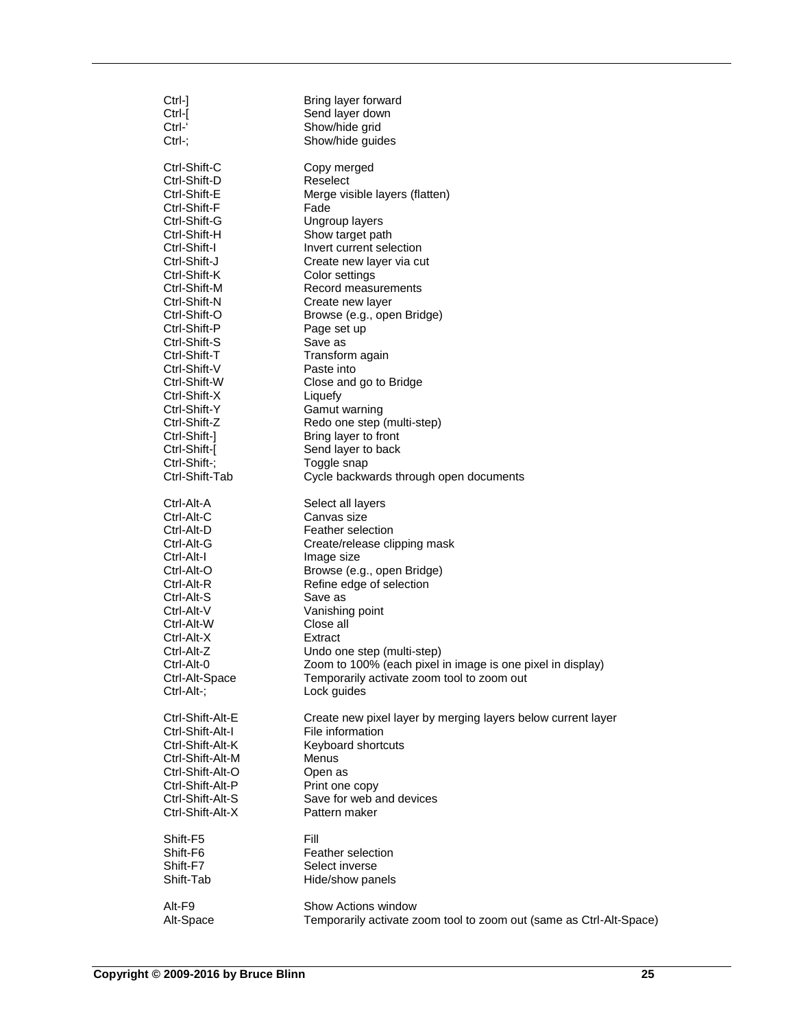| Ctrl-1           | Bring layer forward                                                 |
|------------------|---------------------------------------------------------------------|
| Ctrl-[           | Send layer down                                                     |
| Ctrl-'           | Show/hide grid                                                      |
| Ctrl-;           | Show/hide guides                                                    |
| Ctrl-Shift-C     | Copy merged                                                         |
| Ctrl-Shift-D     | Reselect                                                            |
| Ctrl-Shift-E     | Merge visible layers (flatten)                                      |
| Ctrl-Shift-F     | Fade                                                                |
| Ctrl-Shift-G     | Ungroup layers                                                      |
| Ctrl-Shift-H     | Show target path                                                    |
| Ctrl-Shift-I     | Invert current selection                                            |
| Ctrl-Shift-J     | Create new layer via cut                                            |
| Ctrl-Shift-K     | Color settings                                                      |
| Ctrl-Shift-M     | Record measurements                                                 |
| Ctrl-Shift-N     | Create new layer                                                    |
| Ctrl-Shift-O     | Browse (e.g., open Bridge)                                          |
| Ctrl-Shift-P     | Page set up                                                         |
| Ctrl-Shift-S     | Save as                                                             |
| Ctrl-Shift-T     | Transform again                                                     |
| Ctrl-Shift-V     | Paste into                                                          |
| Ctrl-Shift-W     | Close and go to Bridge                                              |
| Ctrl-Shift-X     | Liquefy                                                             |
| Ctrl-Shift-Y     | Gamut warning                                                       |
| Ctrl-Shift-Z     | Redo one step (multi-step)                                          |
| Ctrl-Shift-1     | Bring layer to front                                                |
| Ctrl-Shift-[     | Send layer to back                                                  |
| Ctrl-Shift-;     | Toggle snap                                                         |
| Ctrl-Shift-Tab   | Cycle backwards through open documents                              |
| Ctrl-Alt-A       | Select all layers                                                   |
| Ctrl-Alt-C       | Canvas size                                                         |
| Ctrl-Alt-D       | Feather selection                                                   |
| Ctrl-Alt-G       | Create/release clipping mask                                        |
| Ctrl-Alt-I       | Image size                                                          |
| Ctrl-Alt-O       | Browse (e.g., open Bridge)                                          |
| Ctrl-Alt-R       | Refine edge of selection                                            |
| Ctrl-Alt-S       | Save as                                                             |
| Ctrl-Alt-V       | Vanishing point                                                     |
| Ctrl-Alt-W       | Close all                                                           |
| Ctrl-Alt-X       | Extract                                                             |
| Ctrl-Alt-Z       | Undo one step (multi-step)                                          |
| Ctrl-Alt-0       | Zoom to 100% (each pixel in image is one pixel in display)          |
| Ctrl-Alt-Space   | Temporarily activate zoom tool to zoom out                          |
| Ctrl-Alt-;       | Lock guides                                                         |
| Ctrl-Shift-Alt-E | Create new pixel layer by merging layers below current layer        |
| Ctrl-Shift-Alt-I | File information                                                    |
| Ctrl-Shift-Alt-K | Keyboard shortcuts                                                  |
| Ctrl-Shift-Alt-M | Menus                                                               |
| Ctrl-Shift-Alt-O | Open as                                                             |
| Ctrl-Shift-Alt-P | Print one copy                                                      |
| Ctrl-Shift-Alt-S | Save for web and devices                                            |
| Ctrl-Shift-Alt-X | Pattern maker                                                       |
| Shift-F5         | Fill                                                                |
| Shift-F6         | Feather selection                                                   |
| Shift-F7         | Select inverse                                                      |
| Shift-Tab        | Hide/show panels                                                    |
| Alt-F9           | Show Actions window                                                 |
| Alt-Space        | Temporarily activate zoom tool to zoom out (same as Ctrl-Alt-Space) |